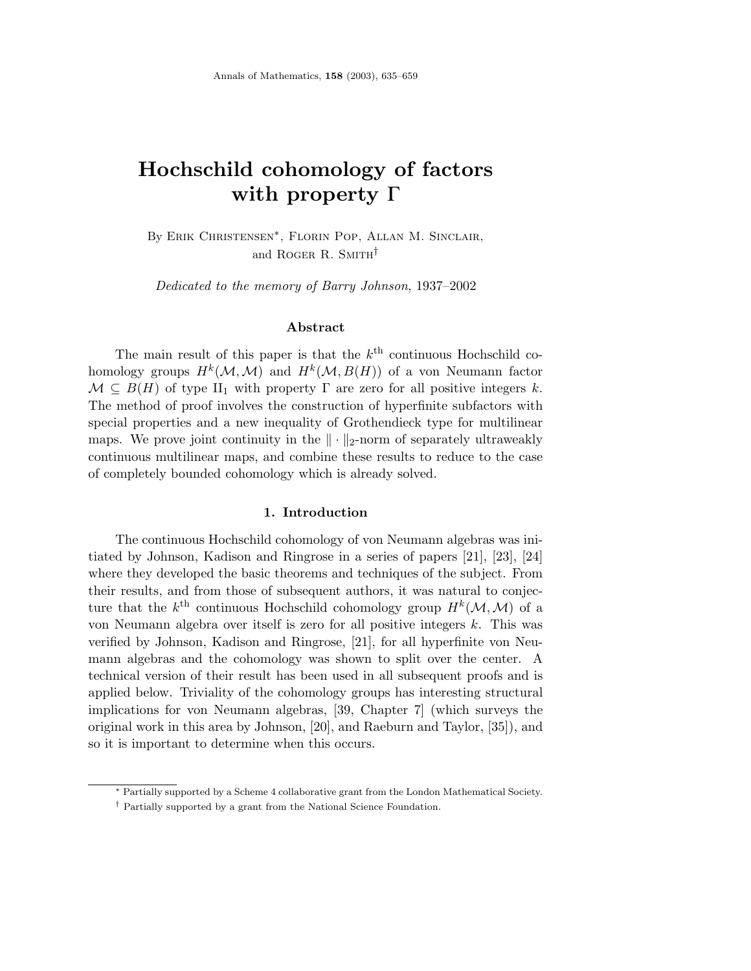# **Hochschild cohomology of factors with property** Γ

By Erik Christensen∗, Florin Pop, Allan M. Sinclair, and ROGER R. SMITH<sup>†</sup>

Dedicated to the memory of Barry Johnson, 1937–2002

## **Abstract**

The main result of this paper is that the  $k<sup>th</sup>$  continuous Hochschild cohomology groups  $H^k(\mathcal{M}, \mathcal{M})$  and  $H^k(\mathcal{M}, B(H))$  of a von Neumann factor  $\mathcal{M} \subseteq B(H)$  of type II<sub>1</sub> with property  $\Gamma$  are zero for all positive integers k. The method of proof involves the construction of hyperfinite subfactors with special properties and a new inequality of Grothendieck type for multilinear maps. We prove joint continuity in the  $\|\cdot\|_2$ -norm of separately ultraweakly continuous multilinear maps, and combine these results to reduce to the case of completely bounded cohomology which is already solved.

## **1. Introduction**

The continuous Hochschild cohomology of von Neumann algebras was initiated by Johnson, Kadison and Ringrose in a series of papers [21], [23], [24] where they developed the basic theorems and techniques of the subject. From their results, and from those of subsequent authors, it was natural to conjecture that the  $k^{\text{th}}$  continuous Hochschild cohomology group  $H^k(\mathcal{M},\mathcal{M})$  of a von Neumann algebra over itself is zero for all positive integers k. This was verified by Johnson, Kadison and Ringrose, [21], for all hyperfinite von Neumann algebras and the cohomology was shown to split over the center. A technical version of their result has been used in all subsequent proofs and is applied below. Triviality of the cohomology groups has interesting structural implications for von Neumann algebras, [39, Chapter 7] (which surveys the original work in this area by Johnson, [20], and Raeburn and Taylor, [35]), and so it is important to determine when this occurs.

<sup>∗</sup> Partially supported by a Scheme 4 collaborative grant from the London Mathematical Society.

<sup>†</sup> Partially supported by a grant from the National Science Foundation.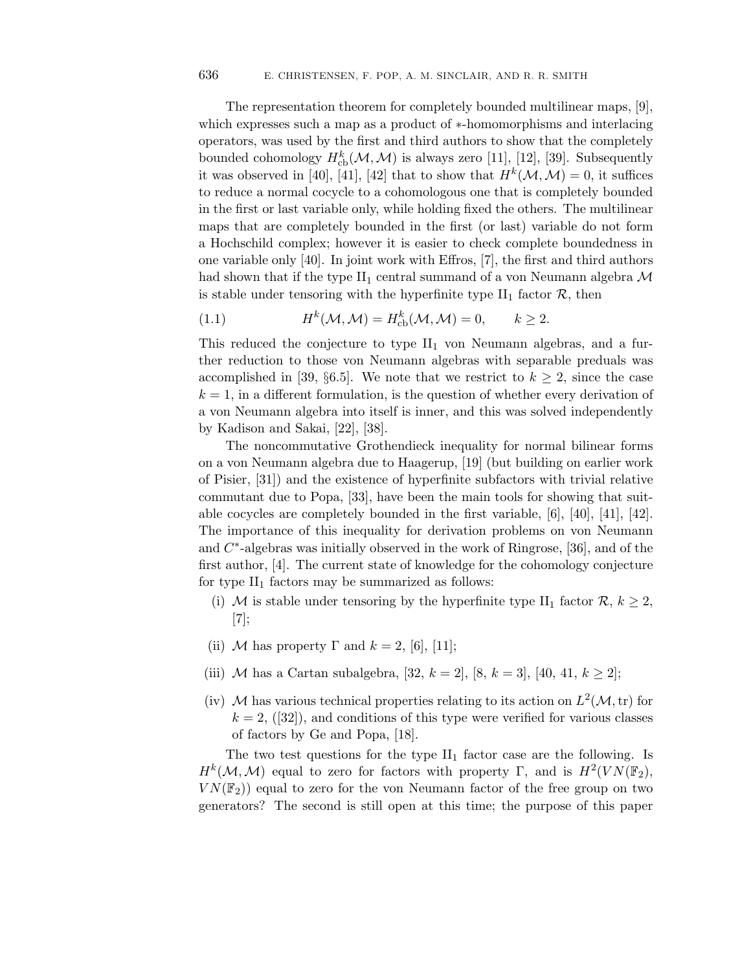The representation theorem for completely bounded multilinear maps, [9], which expresses such a map as a product of ∗-homomorphisms and interlacing operators, was used by the first and third authors to show that the completely bounded cohomology  $H^k_{\text{cb}}(\mathcal{M}, \mathcal{M})$  is always zero [11], [12], [39]. Subsequently it was observed in [40], [41], [42] that to show that  $H^k(\mathcal{M}, \mathcal{M}) = 0$ , it suffices to reduce a normal cocycle to a cohomologous one that is completely bounded in the first or last variable only, while holding fixed the others. The multilinear maps that are completely bounded in the first (or last) variable do not form a Hochschild complex; however it is easier to check complete boundedness in one variable only [40]. In joint work with Effros, [7], the first and third authors had shown that if the type  $II_1$  central summand of a von Neumann algebra M is stable under tensoring with the hyperfinite type  $II_1$  factor  $\mathcal{R}$ , then

(1.1) 
$$
H^{k}(\mathcal{M},\mathcal{M})=H_{\mathrm{cb}}^{k}(\mathcal{M},\mathcal{M})=0, \qquad k\geq 2.
$$

This reduced the conjecture to type  $II_1$  von Neumann algebras, and a further reduction to those von Neumann algebras with separable preduals was accomplished in [39, §6.5]. We note that we restrict to  $k \geq 2$ , since the case  $k = 1$ , in a different formulation, is the question of whether every derivation of a von Neumann algebra into itself is inner, and this was solved independently by Kadison and Sakai, [22], [38].

The noncommutative Grothendieck inequality for normal bilinear forms on a von Neumann algebra due to Haagerup, [19] (but building on earlier work of Pisier, [31]) and the existence of hyperfinite subfactors with trivial relative commutant due to Popa, [33], have been the main tools for showing that suitable cocycles are completely bounded in the first variable, [6], [40], [41], [42]. The importance of this inequality for derivation problems on von Neumann and  $C^*$ -algebras was initially observed in the work of Ringrose, [36], and of the first author, [4]. The current state of knowledge for the cohomology conjecture for type  $II_1$  factors may be summarized as follows:

- (i) M is stable under tensoring by the hyperfinite type II<sub>1</sub> factor  $\mathcal{R}, k \geq 2$ , [7];
- (ii) M has property  $\Gamma$  and  $k = 2$ , [6], [11];
- (iii) M has a Cartan subalgebra, [32,  $k = 2$ ], [8,  $k = 3$ ], [40, 41,  $k \ge 2$ ];
- (iv) M has various technical properties relating to its action on  $L^2(\mathcal{M}, \text{tr})$  for  $k = 2$ , ([32]), and conditions of this type were verified for various classes of factors by Ge and Popa, [18].

The two test questions for the type  $II_1$  factor case are the following. Is  $H^k(\mathcal{M},\mathcal{M})$  equal to zero for factors with property Γ, and is  $H^2(VN(\mathbb{F}_2)),$  $VN(\mathbb{F}_2)$  equal to zero for the von Neumann factor of the free group on two generators? The second is still open at this time; the purpose of this paper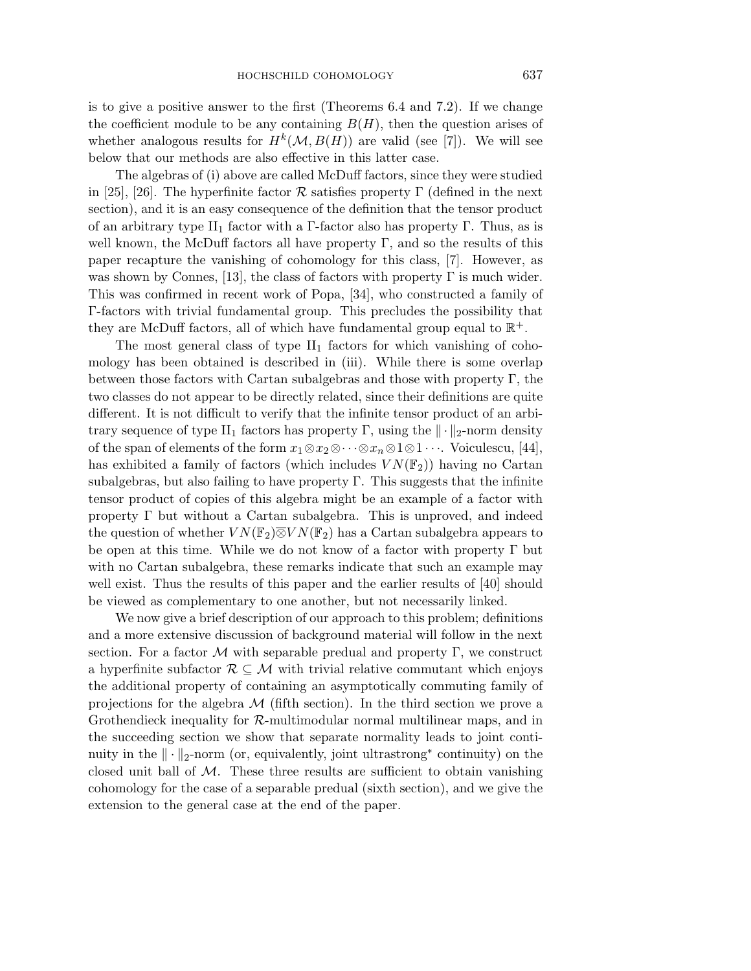is to give a positive answer to the first (Theorems 6.4 and 7.2). If we change the coefficient module to be any containing  $B(H)$ , then the question arises of whether analogous results for  $H^k(\mathcal{M}, B(H))$  are valid (see [7]). We will see below that our methods are also effective in this latter case.

The algebras of (i) above are called McDuff factors, since they were studied in [25], [26]. The hyperfinite factor  $\mathcal R$  satisfies property  $\Gamma$  (defined in the next section), and it is an easy consequence of the definition that the tensor product of an arbitrary type II<sub>1</sub> factor with a Γ-factor also has property Γ. Thus, as is well known, the McDuff factors all have property  $\Gamma$ , and so the results of this paper recapture the vanishing of cohomology for this class, [7]. However, as was shown by Connes, [13], the class of factors with property  $\Gamma$  is much wider. This was confirmed in recent work of Popa, [34], who constructed a family of Γ-factors with trivial fundamental group. This precludes the possibility that they are McDuff factors, all of which have fundamental group equal to  $\mathbb{R}^+$ .

The most general class of type  $II_1$  factors for which vanishing of cohomology has been obtained is described in (iii). While there is some overlap between those factors with Cartan subalgebras and those with property  $\Gamma$ , the two classes do not appear to be directly related, since their definitions are quite different. It is not difficult to verify that the infinite tensor product of an arbitrary sequence of type  $II_1$  factors has property  $\Gamma$ , using the  $\|\cdot\|_2$ -norm density of the span of elements of the form  $x_1 \otimes x_2 \otimes \cdots \otimes x_n \otimes 1 \otimes 1 \cdots$ . Voiculescu, [44], has exhibited a family of factors (which includes  $VN(\mathbb{F}_2)$ ) having no Cartan subalgebras, but also failing to have property  $\Gamma$ . This suggests that the infinite tensor product of copies of this algebra might be an example of a factor with property Γ but without a Cartan subalgebra. This is unproved, and indeed the question of whether  $VN(\mathbb{F}_2) \overline{\otimes} VN(\mathbb{F}_2)$  has a Cartan subalgebra appears to be open at this time. While we do not know of a factor with property  $\Gamma$  but with no Cartan subalgebra, these remarks indicate that such an example may well exist. Thus the results of this paper and the earlier results of [40] should be viewed as complementary to one another, but not necessarily linked.

We now give a brief description of our approach to this problem; definitions and a more extensive discussion of background material will follow in the next section. For a factor  $\mathcal M$  with separable predual and property  $\Gamma$ , we construct a hyperfinite subfactor  $\mathcal{R} \subseteq \mathcal{M}$  with trivial relative commutant which enjoys the additional property of containing an asymptotically commuting family of projections for the algebra  $\mathcal M$  (fifth section). In the third section we prove a Grothendieck inequality for  $R$ -multimodular normal multilinear maps, and in the succeeding section we show that separate normality leads to joint continuity in the  $\|\cdot\|_2$ -norm (or, equivalently, joint ultrastrong<sup>\*</sup> continuity) on the closed unit ball of  $M$ . These three results are sufficient to obtain vanishing cohomology for the case of a separable predual (sixth section), and we give the extension to the general case at the end of the paper.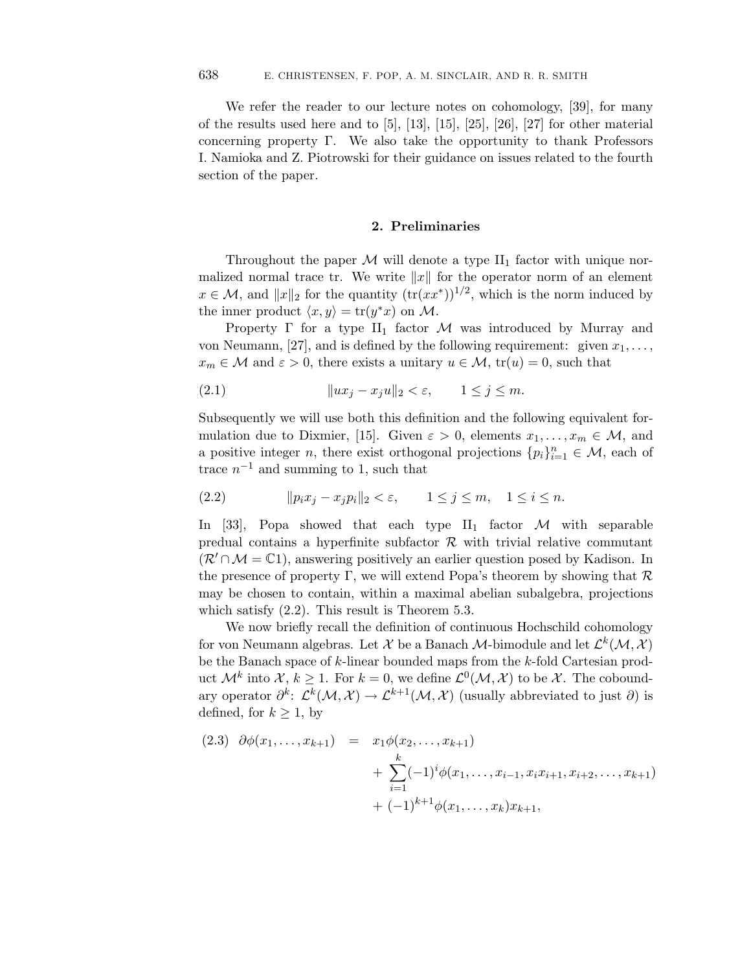We refer the reader to our lecture notes on cohomology, [39], for many of the results used here and to [5], [13], [15], [25], [26], [27] for other material concerning property Γ. We also take the opportunity to thank Professors I. Namioka and Z. Piotrowski for their guidance on issues related to the fourth section of the paper.

## **2. Preliminaries**

Throughout the paper  $M$  will denote a type  $II_1$  factor with unique normalized normal trace tr. We write  $||x||$  for the operator norm of an element  $x \in \mathcal{M}$ , and  $||x||_2$  for the quantity  $(\text{tr}(xx^*))^{1/2}$ , which is the norm induced by the inner product  $\langle x, y \rangle = \text{tr}(y^*x)$  on M.

Property  $\Gamma$  for a type  $II_1$  factor M was introduced by Murray and von Neumann, [27], and is defined by the following requirement: given  $x_1, \ldots,$  $x_m \in \mathcal{M}$  and  $\varepsilon > 0$ , there exists a unitary  $u \in \mathcal{M}$ ,  $\text{tr}(u) = 0$ , such that

(2.1) ux<sup>j</sup> − xju-<sup>2</sup> < ε, 1 ≤ j ≤ m.

Subsequently we will use both this definition and the following equivalent formulation due to Dixmier, [15]. Given  $\varepsilon > 0$ , elements  $x_1, \ldots, x_m \in \mathcal{M}$ , and a positive integer n, there exist orthogonal projections  $\{p_i\}_{i=1}^n \in \mathcal{M}$ , each of trace  $n^{-1}$  and summing to 1, such that

$$
(2.2) \t\t  $||p_ix_j - x_jp_i||_2 < \varepsilon, \t 1 \le j \le m, \t 1 \le i \le n.$
$$

In [33], Popa showed that each type  $II_1$  factor M with separable predual contains a hyperfinite subfactor  $\mathcal R$  with trivial relative commutant  $(\mathcal{R}' \cap \mathcal{M} = \mathbb{C}1)$ , answering positively an earlier question posed by Kadison. In the presence of property Γ, we will extend Popa's theorem by showing that  $\mathcal R$ may be chosen to contain, within a maximal abelian subalgebra, projections which satisfy (2.2). This result is Theorem 5.3.

We now briefly recall the definition of continuous Hochschild cohomology for von Neumann algebras. Let X be a Banach M-bimodule and let  $\mathcal{L}^k(\mathcal{M}, \mathcal{X})$ be the Banach space of  $k$ -linear bounded maps from the  $k$ -fold Cartesian product  $\mathcal{M}^k$  into  $\mathcal{X}, k \geq 1$ . For  $k = 0$ , we define  $\mathcal{L}^0(\mathcal{M}, \mathcal{X})$  to be X. The coboundary operator  $\partial^k$ :  $\mathcal{L}^k(\mathcal{M}, \mathcal{X}) \to \mathcal{L}^{k+1}(\mathcal{M}, \mathcal{X})$  (usually abbreviated to just  $\partial$ ) is defined, for  $k \geq 1$ , by

$$
(2.3) \quad \partial \phi(x_1, \dots, x_{k+1}) = x_1 \phi(x_2, \dots, x_{k+1})
$$

$$
+ \sum_{i=1}^k (-1)^i \phi(x_1, \dots, x_{i-1}, x_i x_{i+1}, x_{i+2}, \dots, x_{k+1})
$$

$$
+ (-1)^{k+1} \phi(x_1, \dots, x_k) x_{k+1},
$$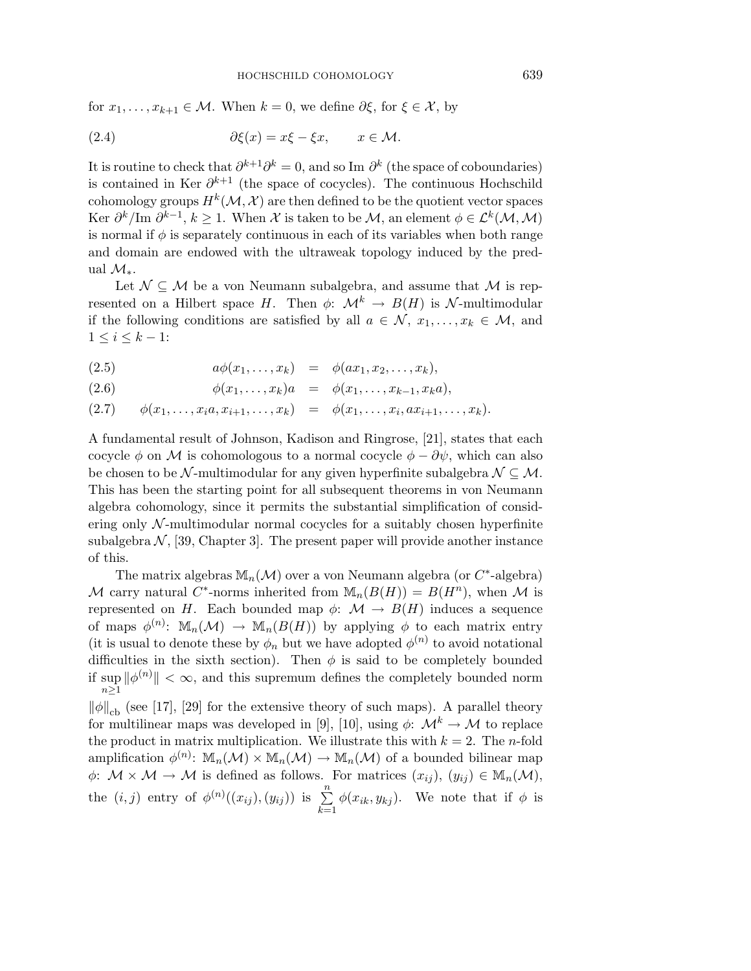#### HOCHSCHILD COHOMOLOGY

for  $x_1, \ldots, x_{k+1} \in \mathcal{M}$ . When  $k = 0$ , we define  $\partial \xi$ , for  $\xi \in \mathcal{X}$ , by

(2.4) 
$$
\partial \xi(x) = x\xi - \xi x, \qquad x \in \mathcal{M}.
$$

It is routine to check that  $\partial^{k+1}\partial^k = 0$ , and so Im  $\partial^k$  (the space of coboundaries) is contained in Ker  $\partial^{k+1}$  (the space of cocycles). The continuous Hochschild cohomology groups  $H^k(\mathcal{M}, \mathcal{X})$  are then defined to be the quotient vector spaces Ker  $\partial^k/\mathrm{Im} \partial^{k-1}, k \geq 1$ . When X is taken to be M, an element  $\phi \in \mathcal{L}^k(\mathcal{M}, \mathcal{M})$ is normal if  $\phi$  is separately continuous in each of its variables when both range and domain are endowed with the ultraweak topology induced by the predual  $\mathcal{M}_*$ .

Let  $\mathcal{N} \subseteq \mathcal{M}$  be a von Neumann subalgebra, and assume that  $\mathcal{M}$  is represented on a Hilbert space H. Then  $\phi: \mathcal{M}^k \to B(H)$  is N-multimodular if the following conditions are satisfied by all  $a \in \mathcal{N}, x_1, \ldots, x_k \in \mathcal{M}$ , and  $1 \leq i \leq k-1$ :

$$
(2.5) \qquad a\phi(x_1,\ldots,x_k) = \phi(ax_1,x_2,\ldots,x_k),
$$

(2.6)  $\phi(x_1,...,x_k)a = \phi(x_1,...,x_{k-1},x_ka),$ 

$$
(2.7) \qquad \phi(x_1,\ldots,x_i a,x_{i+1},\ldots,x_k) \quad = \quad \phi(x_1,\ldots,x_i,ax_{i+1},\ldots,x_k).
$$

A fundamental result of Johnson, Kadison and Ringrose, [21], states that each cocycle  $\phi$  on M is cohomologous to a normal cocycle  $\phi - \partial \psi$ , which can also be chosen to be N-multimodular for any given hyperfinite subalgebra  $\mathcal{N} \subseteq \mathcal{M}$ . This has been the starting point for all subsequent theorems in von Neumann algebra cohomology, since it permits the substantial simplification of considering only  $N$ -multimodular normal cocycles for a suitably chosen hyperfinite subalgebra  $\mathcal{N}$ , [39, Chapter 3]. The present paper will provide another instance of this.

The matrix algebras  $\mathbb{M}_n(\mathcal{M})$  over a von Neumann algebra (or  $C^*$ -algebra) M carry natural C<sup>\*</sup>-norms inherited from  $\mathbb{M}_{n}(B(H)) = B(H^{n})$ , when M is represented on H. Each bounded map  $\phi: \mathcal{M} \to B(H)$  induces a sequence of maps  $\phi^{(n)}$ :  $\mathbb{M}_n(\mathcal{M}) \to \mathbb{M}_n(B(H))$  by applying  $\phi$  to each matrix entry (it is usual to denote these by  $\phi_n$  but we have adopted  $\phi^{(n)}$  to avoid notational difficulties in the sixth section). Then  $\phi$  is said to be completely bounded if sup  $\|\phi^{(n)}\| < \infty$ , and this supremum defines the completely bounded norm  $n\geq 1$ 

 $\|\phi\|_{\text{cb}}$  (see [17], [29] for the extensive theory of such maps). A parallel theory for multilinear maps was developed in [9], [10], using  $\phi: \mathcal{M}^k \to \mathcal{M}$  to replace the product in matrix multiplication. We illustrate this with  $k = 2$ . The *n*-fold amplification  $\phi^{(n)}$ :  $\mathbb{M}_n(\mathcal{M}) \times \mathbb{M}_n(\mathcal{M}) \to \mathbb{M}_n(\mathcal{M})$  of a bounded bilinear map  $\phi: \mathcal{M} \times \mathcal{M} \to \mathcal{M}$  is defined as follows. For matrices  $(x_{ij}), (y_{ij}) \in M_n(\mathcal{M}),$ the  $(i, j)$  entry of  $\phi^{(n)}((x_{ij}), (y_{ij}))$  is  $\sum_{i=1}^{n}$  $\sum_{k=1} \phi(x_{ik}, y_{kj})$ . We note that if  $\phi$  is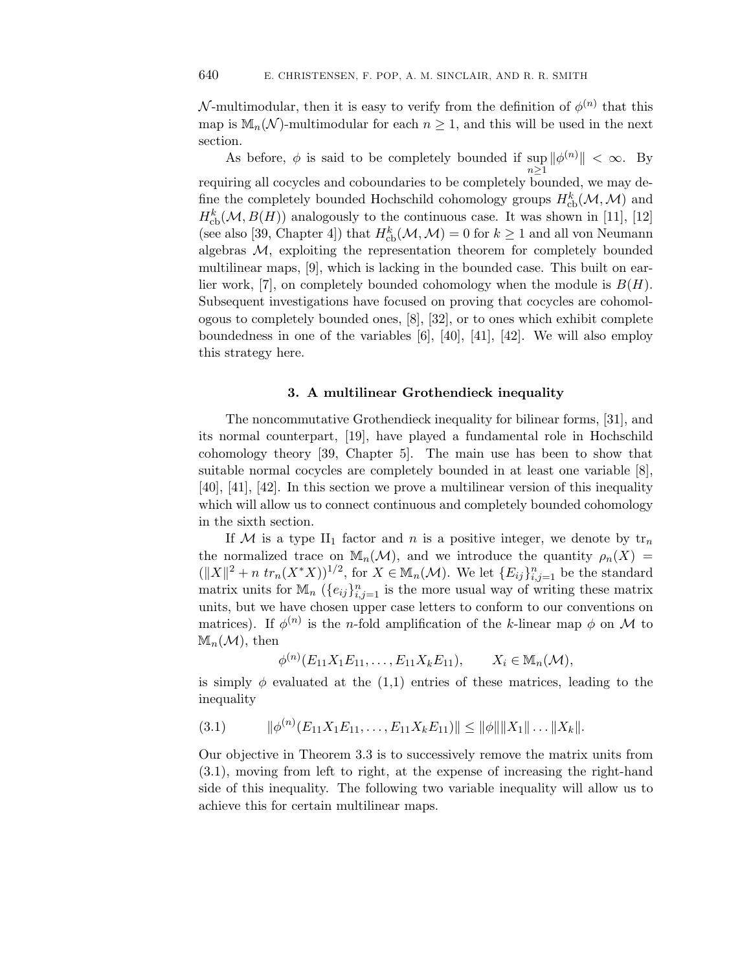N-multimodular, then it is easy to verify from the definition of  $\phi^{(n)}$  that this map is  $\mathbb{M}_n(\mathcal{N})$ -multimodular for each  $n \geq 1$ , and this will be used in the next section.

As before,  $\phi$  is said to be completely bounded if  $\sup ||\phi^{(n)}|| < \infty$ . By  $n\geq 1$ requiring all cocycles and coboundaries to be completely bounded, we may define the completely bounded Hochschild cohomology groups  $H^k_{\text{cb}}(\mathcal{M},\mathcal{M})$  and  $H^k_{\text{cb}}(\mathcal{M}, B(H))$  analogously to the continuous case. It was shown in [11], [12] (see also [39, Chapter 4]) that  $H^k_{\text{cb}}(\mathcal{M}, \mathcal{M})=0$  for  $k\geq 1$  and all von Neumann algebras  $M$ , exploiting the representation theorem for completely bounded multilinear maps, [9], which is lacking in the bounded case. This built on earlier work, [7], on completely bounded cohomology when the module is  $B(H)$ . Subsequent investigations have focused on proving that cocycles are cohomologous to completely bounded ones, [8], [32], or to ones which exhibit complete boundedness in one of the variables [6], [40], [41], [42]. We will also employ this strategy here.

# **3. A multilinear Grothendieck inequality**

The noncommutative Grothendieck inequality for bilinear forms, [31], and its normal counterpart, [19], have played a fundamental role in Hochschild cohomology theory [39, Chapter 5]. The main use has been to show that suitable normal cocycles are completely bounded in at least one variable [8], [40], [41], [42]. In this section we prove a multilinear version of this inequality which will allow us to connect continuous and completely bounded cohomology in the sixth section.

If M is a type II<sub>1</sub> factor and n is a positive integer, we denote by  $tr_n$ the normalized trace on  $\mathbb{M}_n(\mathcal{M})$ , and we introduce the quantity  $\rho_n(X)$  $(\|X\|^2 + n \trctan(X^*X))^{1/2}$ , for  $X \in M_n(\mathcal{M})$ . We let  $\{E_{ij}\}_{i,j=1}^n$  be the standard matrix units for  $\mathbb{M}_n$  ( $\{e_{ij}\}_{i,j=1}^n$  is the more usual way of writing these matrix units, but we have chosen upper case letters to conform to our conventions on matrices). If  $\phi^{(n)}$  is the *n*-fold amplification of the *k*-linear map  $\phi$  on M to  $\mathbb{M}_n(\mathcal{M})$ , then

$$
\phi^{(n)}(E_{11}X_1E_{11},...,E_{11}X_kE_{11}), \qquad X_i \in M_n(\mathcal{M}),
$$

is simply  $\phi$  evaluated at the (1,1) entries of these matrices, leading to the inequality

$$
(3.1) \t ||\phi^{(n)}(E_{11}X_1E_{11},\ldots,E_{11}X_kE_{11})|| \leq ||\phi|| ||X_1|| \ldots ||X_k||.
$$

Our objective in Theorem 3.3 is to successively remove the matrix units from (3.1), moving from left to right, at the expense of increasing the right-hand side of this inequality. The following two variable inequality will allow us to achieve this for certain multilinear maps.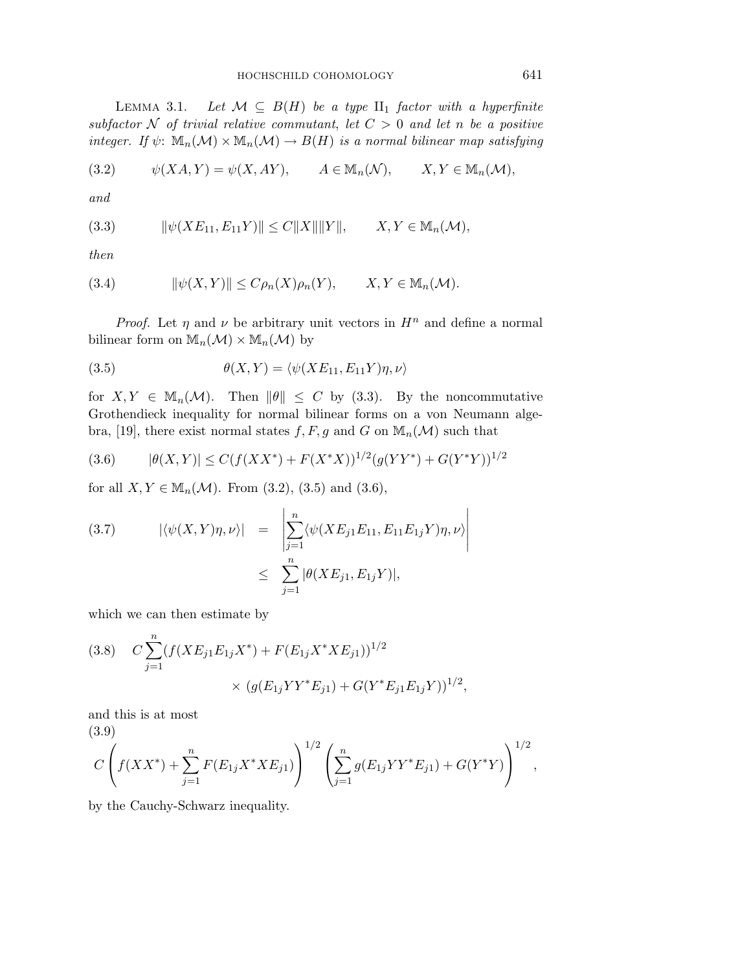LEMMA 3.1. Let  $\mathcal{M} \subseteq B(H)$  be a type  $\text{II}_1$  factor with a hyperfinite subfactor N of trivial relative commutant, let  $C > 0$  and let n be a positive integer. If  $\psi: \mathbb{M}_n(\mathcal{M}) \times \mathbb{M}_n(\mathcal{M}) \to B(H)$  is a normal bilinear map satisfying

$$
(3.2) \t\t \psi(XA, Y) = \psi(X, AY), \t A \in M_n(\mathcal{N}), \t X, Y \in M_n(\mathcal{M}),
$$

and

$$
(3.3) \t\t ||\psi(XE_{11}, E_{11}Y)|| \le C||X|| ||Y||, \t X, Y \in M_n(\mathcal{M}),
$$

then

(3.4) 
$$
\|\psi(X,Y)\| \leq C\rho_n(X)\rho_n(Y), \qquad X, Y \in \mathbb{M}_n(\mathcal{M}).
$$

*Proof.* Let  $\eta$  and  $\nu$  be arbitrary unit vectors in  $H^n$  and define a normal bilinear form on  $\mathbb{M}_n(\mathcal{M}) \times \mathbb{M}_n(\mathcal{M})$  by

(3.5) 
$$
\theta(X,Y) = \langle \psi(XE_{11}, E_{11}Y)\eta, \nu \rangle
$$

for  $X, Y \in \mathbb{M}_n(\mathcal{M})$ . Then  $\|\theta\| \leq C$  by (3.3). By the noncommutative Grothendieck inequality for normal bilinear forms on a von Neumann algebra, [19], there exist normal states  $f, F, g$  and G on  $\mathbb{M}_n(\mathcal{M})$  such that

$$
(3.6) \qquad |\theta(X,Y)| \le C(f(XX^*) + F(X^*X))^{1/2}(g(YY^*) + G(Y^*Y))^{1/2}
$$

for all  $X, Y \in M_n(\mathcal{M})$ . From (3.2), (3.5) and (3.6),

(3.7) 
$$
|\langle \psi(X, Y)\eta, \nu \rangle| = \left| \sum_{j=1}^{n} \langle \psi(XE_{j1}E_{11}, E_{11}E_{1j}Y)\eta, \nu \rangle \right|
$$
  
 
$$
\leq \sum_{j=1}^{n} |\theta(XE_{j1}, E_{1j}Y)|,
$$

which we can then estimate by

(3.8) 
$$
C \sum_{j=1}^{n} (f(XE_{j1}E_{1j}X^*) + F(E_{1j}X^*XE_{j1}))^{1/2}
$$

$$
\times (g(E_{1j}YY^*E_{j1}) + G(Y^*E_{j1}E_{1j}Y))^{1/2},
$$

and this is at most (3.9)

$$
C\left(f(XX^*)+\sum_{j=1}^n F(E_{1j}X^*XE_{j1})\right)^{1/2}\left(\sum_{j=1}^n g(E_{1j}YY^*E_{j1})+G(Y^*Y)\right)^{1/2},
$$

by the Cauchy-Schwarz inequality.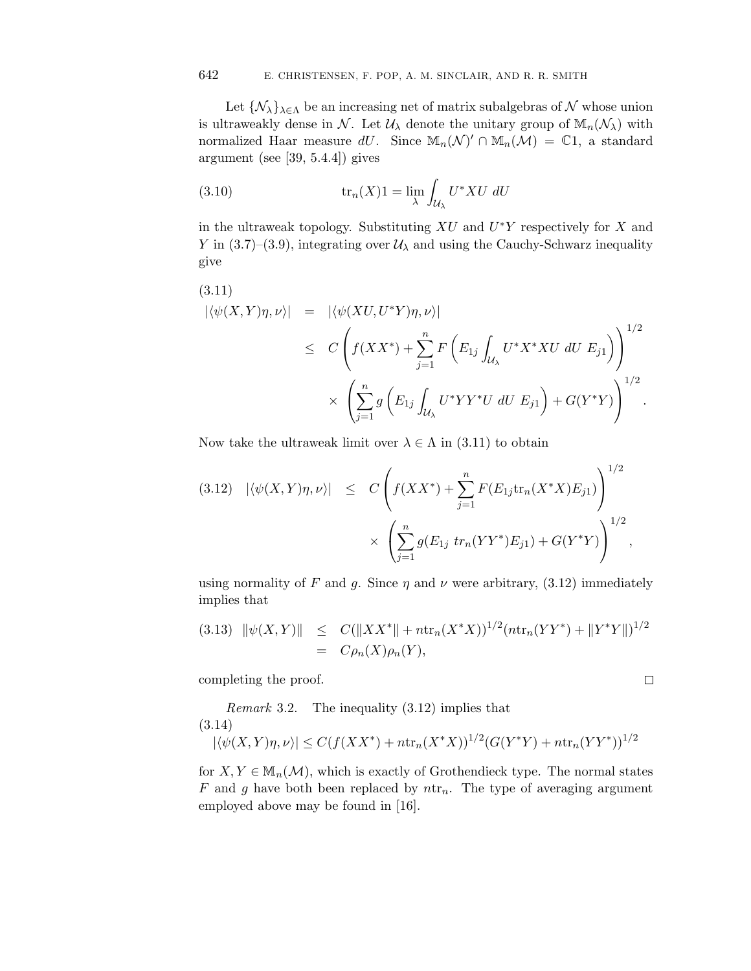Let  $\{\mathcal{N}_{\lambda}\}_{\lambda \in \Lambda}$  be an increasing net of matrix subalgebras of N whose union is ultraweakly dense in N. Let  $\mathcal{U}_{\lambda}$  denote the unitary group of  $\mathbb{M}_n(\mathcal{N}_{\lambda})$  with normalized Haar measure dU. Since  $\mathbb{M}_n(\mathcal{N})' \cap \mathbb{M}_n(\mathcal{M}) = \mathbb{C}1$ , a standard argument (see [39, 5.4.4]) gives

(3.10) 
$$
\operatorname{tr}_n(X)1 = \lim_{\lambda} \int_{\mathcal{U}_{\lambda}} U^* X U \ dU
$$

in the ultraweak topology. Substituting  $XU$  and  $U^*Y$  respectively for X and Y in (3.7)–(3.9), integrating over  $\mathcal{U}_{\lambda}$  and using the Cauchy-Schwarz inequality give

(3.11)  
\n
$$
|\langle \psi(X,Y)\eta, \nu \rangle| = |\langle \psi(XU, U^*Y)\eta, \nu \rangle|
$$
\n
$$
\leq C \left( f(XX^*) + \sum_{j=1}^n F\left(E_{1j} \int_{\mathcal{U}_{\lambda}} U^* X^* XU \, dU \, E_{j1} \right) \right)^{1/2}
$$
\n
$$
\times \left( \sum_{j=1}^n g\left(E_{1j} \int_{\mathcal{U}_{\lambda}} U^* Y Y^* U \, dU \, E_{j1} \right) + G(Y^*Y) \right)^{1/2}.
$$

Now take the ultraweak limit over  $\lambda \in \Lambda$  in (3.11) to obtain

$$
(3.12) \quad |\langle \psi(X,Y)\eta, \nu \rangle| \leq C \left( f(XX^*) + \sum_{j=1}^n F(E_{1j} \text{tr}_n(X^*X)E_{j1}) \right)^{1/2} \times \left( \sum_{j=1}^n g(E_{1j} \text{tr}_n(YY^*)E_{j1}) + G(Y^*Y) \right)^{1/2},
$$

using normality of F and g. Since  $\eta$  and  $\nu$  were arbitrary, (3.12) immediately implies that

$$
(3.13) \|\psi(X,Y)\| \leq C(\|XX^*\| + n \text{tr}_n(X^*X))^{1/2} (n \text{tr}_n(YY^*) + \|Y^*Y\|)^{1/2}
$$
  
=  $C\rho_n(X)\rho_n(Y),$ 

completing the proof.

Remark 3.2. The inequality (3.12) implies that (3.14)  $|\langle \psi(X, Y)\eta, \nu \rangle| \leq C(f(XX^*) + ntr_n(X^*X))^{1/2}(G(Y^*Y) + ntr_n(YY^*))^{1/2}$ 

for  $X, Y \in M_n(\mathcal{M})$ , which is exactly of Grothendieck type. The normal states F and g have both been replaced by  $ntr_n$ . The type of averaging argument employed above may be found in [16].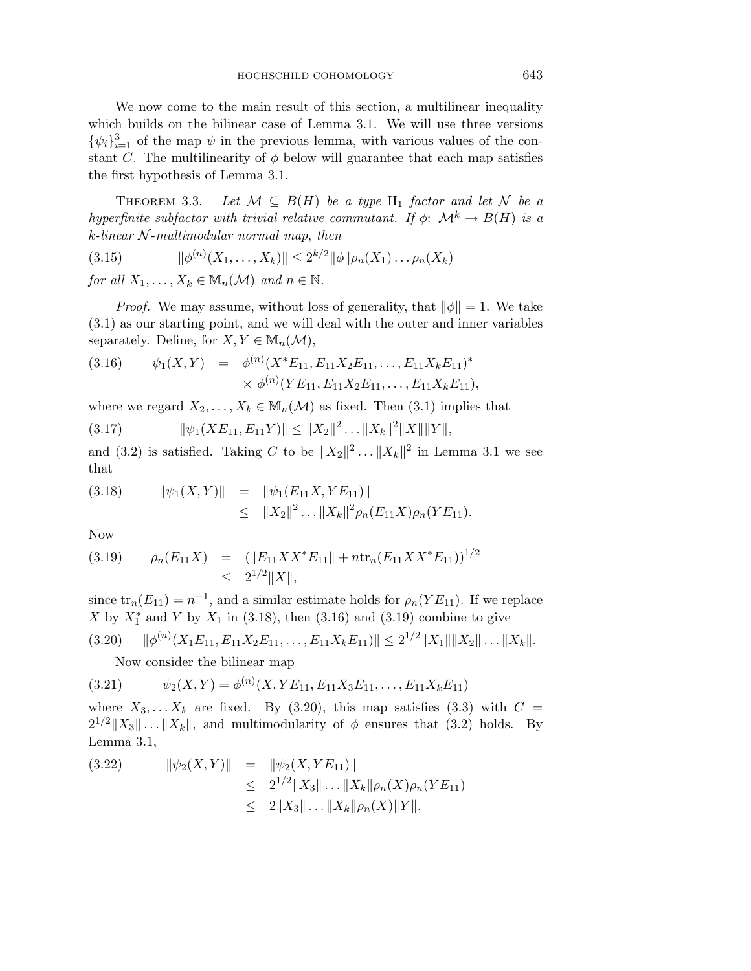We now come to the main result of this section, a multilinear inequality which builds on the bilinear case of Lemma 3.1. We will use three versions  $\{\psi_i\}_{i=1}^3$  of the map  $\psi$  in the previous lemma, with various values of the constant C. The multilinearity of  $\phi$  below will guarantee that each map satisfies the first hypothesis of Lemma 3.1.

THEOREM 3.3. Let  $\mathcal{M} \subseteq B(H)$  be a type  $\text{II}_1$  factor and let N be a hyperfinite subfactor with trivial relative commutant. If  $\phi$ :  $\mathcal{M}^k \to B(H)$  is a  $k$ -linear  $N$ -multimodular normal map, then

$$
(3.15) \t\t ||\phi^{(n)}(X_1,\ldots,X_k)|| \leq 2^{k/2} ||\phi|| \rho_n(X_1)\ldots\rho_n(X_k)
$$

for all  $X_1, \ldots, X_k \in \mathbb{M}_n(\mathcal{M})$  and  $n \in \mathbb{N}$ .

*Proof.* We may assume, without loss of generality, that  $\|\phi\| = 1$ . We take (3.1) as our starting point, and we will deal with the outer and inner variables separately. Define, for  $X, Y \in M_n(\mathcal{M}),$ 

(3.16) 
$$
\psi_1(X,Y) = \phi^{(n)}(X^*E_{11}, E_{11}X_2E_{11}, \dots, E_{11}X_kE_{11})^* \times \phi^{(n)}(YE_{11}, E_{11}X_2E_{11}, \dots, E_{11}X_kE_{11}),
$$

where we regard  $X_2, \ldots, X_k \in \mathbb{M}_n(\mathcal{M})$  as fixed. Then (3.1) implies that

$$
(3.17) \t\t ||\psi_1(XE_{11}, E_{11}Y)|| \le ||X_2||^2 \dots ||X_k||^2 ||X|| ||Y||,
$$

and (3.2) is satisfied. Taking C to be  $||X_2||^2 \dots ||X_k||^2$  in Lemma 3.1 we see that

(3.18) 
$$
\|\psi_1(X,Y)\| = \|\psi_1(E_{11}X, YE_{11})\| \leq \|X_2\|^2 \dots \|X_k\|^2 \rho_n(E_{11}X)\rho_n(YE_{11}).
$$

Now

$$
(3.19) \qquad \rho_n(E_{11}X) = (\|E_{11}XX^*E_{11}\| + n \text{tr}_n(E_{11}XX^*E_{11}))^{1/2} \leq 2^{1/2} \|X\|,
$$

since  $\text{tr}_n(E_{11}) = n^{-1}$ , and a similar estimate holds for  $\rho_n(YE_{11})$ . If we replace X by  $X_1^*$  and Y by  $X_1$  in (3.18), then (3.16) and (3.19) combine to give

$$
(3.20) \qquad \|\phi^{(n)}(X_1E_{11}, E_{11}X_2E_{11}, \ldots, E_{11}X_kE_{11})\| \leq 2^{1/2} \|X_1\| \|X_2\| \ldots \|X_k\|.
$$

Now consider the bilinear map

$$
(3.21) \t\t \psi_2(X,Y) = \phi^{(n)}(X, YE_{11}, E_{11}X_3E_{11}, \dots, E_{11}X_kE_{11})
$$

where  $X_3, \ldots X_k$  are fixed. By (3.20), this map satisfies (3.3) with  $C =$  $2^{1/2} \|X_3\| \dots \|X_k\|$ , and multimodularity of  $\phi$  ensures that (3.2) holds. By Lemma 3.1,

$$
(3.22) \t ||\psi_2(X,Y)|| = ||\psi_2(X, YE_{11})||
$$
  
\t
$$
\leq 2^{1/2} ||X_3|| \dots ||X_k|| \rho_n(X) \rho_n(YE_{11})
$$
  
\t
$$
\leq 2 ||X_3|| \dots ||X_k|| \rho_n(X) ||Y||.
$$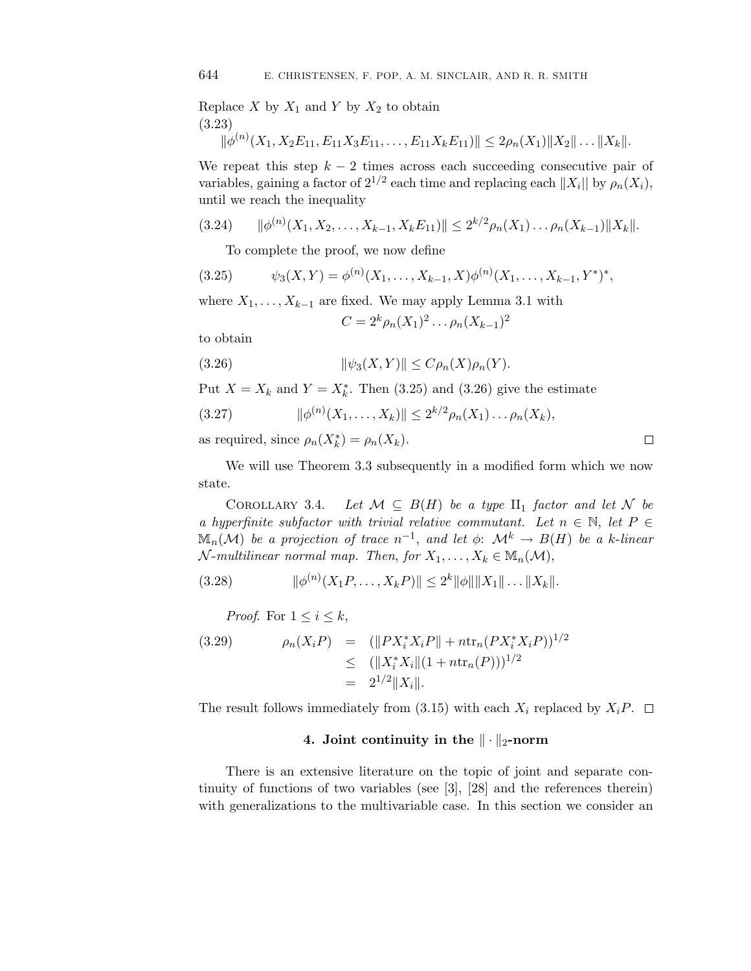Replace  $X$  by  $X_1$  and  $Y$  by  $X_2$  to obtain (3.23)

$$
\|\phi^{(n)}(X_1, X_2E_{11}, E_{11}X_3E_{11}, \dots, E_{11}X_kE_{11})\| \leq 2\rho_n(X_1)\|X_2\|\dots\|X_k\|.
$$

We repeat this step  $k - 2$  times across each succeeding consecutive pair of variables, gaining a factor of  $2^{1/2}$  each time and replacing each  $||X_i||$  by  $\rho_n(X_i)$ , until we reach the inequality

$$
(3.24) \qquad \|\phi^{(n)}(X_1, X_2, \dots, X_{k-1}, X_k E_{11})\| \leq 2^{k/2} \rho_n(X_1) \dots \rho_n(X_{k-1}) \|X_k\|.
$$

To complete the proof, we now define

$$
(3.25) \t\t \psi_3(X,Y) = \phi^{(n)}(X_1,\ldots,X_{k-1},X)\phi^{(n)}(X_1,\ldots,X_{k-1},Y^*)^*,
$$

where  $X_1, \ldots, X_{k-1}$  are fixed. We may apply Lemma 3.1 with

$$
C=2^k\rho_n(X_1)^2\ldots\rho_n(X_{k-1})^2
$$

to obtain

(3.26) 
$$
\|\psi_3(X,Y)\| \le C\rho_n(X)\rho_n(Y).
$$

Put  $X = X_k$  and  $Y = X_k^*$ . Then (3.25) and (3.26) give the estimate

(3.27) 
$$
\|\phi^{(n)}(X_1,\ldots,X_k)\| \leq 2^{k/2} \rho_n(X_1)\ldots\rho_n(X_k),
$$

as required, since  $\rho_n(X_k^*) = \rho_n(X_k)$ .

We will use Theorem 3.3 subsequently in a modified form which we now state.

COROLLARY 3.4. Let  $\mathcal{M} \subseteq B(H)$  be a type  $\text{II}_1$  factor and let N be a hyperfinite subfactor with trivial relative commutant. Let  $n \in \mathbb{N}$ , let  $P \in$  $\mathbb{M}_n(\mathcal{M})$  be a projection of trace  $n^{-1}$ , and let  $\phi: \mathcal{M}^k \to B(H)$  be a k-linear  $\mathcal{N}\text{-}\mathit{multilinear}$  normal map. Then, for  $X_1,\ldots,X_k\in\mathbb{M}_n(\mathcal{M}),$ 

$$
(3.28) \t ||\phi^{(n)}(X_1P,\ldots,X_kP)|| \leq 2^k ||\phi|| ||X_1||\ldots||X_k||.
$$

*Proof.* For  $1 \leq i \leq k$ ,

(3.29) 
$$
\rho_n(X_i P) = (||PX_i^* X_i P|| + n \text{tr}_n(P X_i^* X_i P))^{1/2} \leq (||X_i^* X_i || (1 + n \text{tr}_n(P)))^{1/2} = 2^{1/2} ||X_i||.
$$

The result follows immediately from (3.15) with each  $X_i$  replaced by  $X_iP$ .  $\Box$ 

# $4.$  Joint continuity in the  $\|\cdot\|_2$ -norm

There is an extensive literature on the topic of joint and separate continuity of functions of two variables (see [3], [28] and the references therein) with generalizations to the multivariable case. In this section we consider an

 $\Box$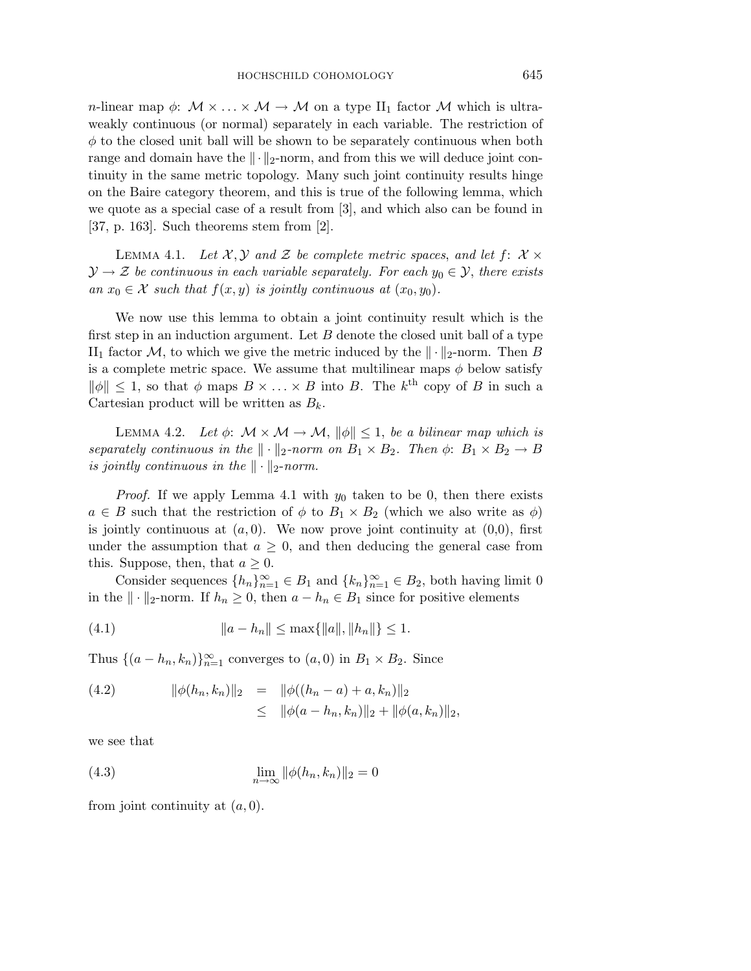*n*-linear map  $\phi: \mathcal{M} \times \ldots \times \mathcal{M} \to \mathcal{M}$  on a type II<sub>1</sub> factor  $\mathcal{M}$  which is ultraweakly continuous (or normal) separately in each variable. The restriction of  $\phi$  to the closed unit ball will be shown to be separately continuous when both range and domain have the  $\|\cdot\|_2$ -norm, and from this we will deduce joint continuity in the same metric topology. Many such joint continuity results hinge on the Baire category theorem, and this is true of the following lemma, which we quote as a special case of a result from [3], and which also can be found in [37, p. 163]. Such theorems stem from [2].

LEMMA 4.1. Let  $\mathcal{X}, \mathcal{Y}$  and  $\mathcal{Z}$  be complete metric spaces, and let  $f: \mathcal{X} \times$  $\mathcal{Y} \to \mathcal{Z}$  be continuous in each variable separately. For each  $y_0 \in \mathcal{Y}$ , there exists an  $x_0 \in \mathcal{X}$  such that  $f(x, y)$  is jointly continuous at  $(x_0, y_0)$ .

We now use this lemma to obtain a joint continuity result which is the first step in an induction argument. Let  $B$  denote the closed unit ball of a type II<sub>1</sub> factor M, to which we give the metric induced by the  $\|\cdot\|_2$ -norm. Then B is a complete metric space. We assume that multilinear maps  $\phi$  below satisfy  $\|\phi\| \leq 1$ , so that  $\phi$  maps  $B \times \ldots \times B$  into B. The k<sup>th</sup> copy of B in such a Cartesian product will be written as  $B_k$ .

LEMMA 4.2. Let  $\phi: \mathcal{M} \times \mathcal{M} \rightarrow \mathcal{M}, ||\phi|| \leq 1$ , be a bilinear map which is separately continuous in the  $\|\cdot\|_2$ -norm on  $B_1 \times B_2$ . Then  $\phi: B_1 \times B_2 \to B$ is jointly continuous in the  $\|\cdot\|_2$ -norm.

*Proof.* If we apply Lemma 4.1 with  $y_0$  taken to be 0, then there exists  $a \in B$  such that the restriction of  $\phi$  to  $B_1 \times B_2$  (which we also write as  $\phi$ ) is jointly continuous at  $(a, 0)$ . We now prove joint continuity at  $(0,0)$ , first under the assumption that  $a \geq 0$ , and then deducing the general case from this. Suppose, then, that  $a \geq 0$ .

Consider sequences  $\{h_n\}_{n=1}^{\infty} \in B_1$  and  $\{k_n\}_{n=1}^{\infty} \in B_2$ , both having limit 0 in the  $\|\cdot\|_2$ -norm. If  $h_n \geq 0$ , then  $a - h_n \in B_1$  since for positive elements

(4.1) 
$$
||a - h_n|| \le \max\{||a||, ||h_n||\} \le 1.
$$

Thus  $\{(a-h_n,k_n)\}_{n=1}^{\infty}$  converges to  $(a,0)$  in  $B_1 \times B_2$ . Since

(4.2) 
$$
\|\phi(h_n, k_n)\|_2 = \|\phi((h_n - a) + a, k_n)\|_2
$$

$$
\leq \|\phi(a - h_n, k_n)\|_2 + \|\phi(a, k_n)\|_2,
$$

we see that

(4.3) 
$$
\lim_{n \to \infty} ||\phi(h_n, k_n)||_2 = 0
$$

from joint continuity at  $(a, 0)$ .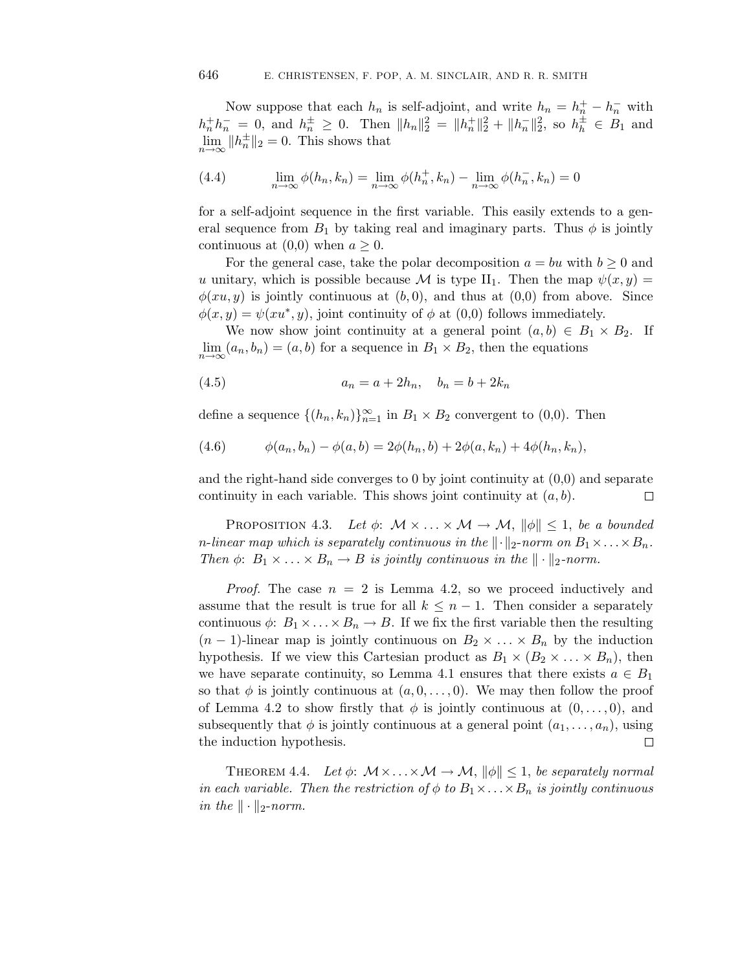Now suppose that each  $h_n$  is self-adjoint, and write  $h_n = h_n^+ - h_n^-$  with  $h_n^+h_n^- = 0$ , and  $h_n^{\pm} \geq 0$ . Then  $||h_n||_2^2 = ||h_n^+||_2^2 + ||h_n^-||_2^2$ , so  $h_h^{\pm} \in B_1$  and  $\lim_{n\to\infty} ||h_n^{\pm}||_2 = 0$ . This shows that

(4.4) 
$$
\lim_{n \to \infty} \phi(h_n, k_n) = \lim_{n \to \infty} \phi(h_n^+, k_n) - \lim_{n \to \infty} \phi(h_n^-, k_n) = 0
$$

for a self-adjoint sequence in the first variable. This easily extends to a general sequence from  $B_1$  by taking real and imaginary parts. Thus  $\phi$  is jointly continuous at  $(0,0)$  when  $a \geq 0$ .

For the general case, take the polar decomposition  $a = bu$  with  $b \ge 0$  and u unitary, which is possible because M is type II<sub>1</sub>. Then the map  $\psi(x, y) =$  $\phi(xu, y)$  is jointly continuous at  $(b, 0)$ , and thus at  $(0, 0)$  from above. Since  $\phi(x, y) = \psi(xu^*, y)$ , joint continuity of  $\phi$  at  $(0,0)$  follows immediately.

We now show joint continuity at a general point  $(a, b) \in B_1 \times B_2$ . If  $\lim_{n\to\infty}(a_n, b_n)=(a, b)$  for a sequence in  $B_1\times B_2$ , then the equations

(4.5) 
$$
a_n = a + 2h_n, \quad b_n = b + 2k_n
$$

define a sequence  $\{(h_n, k_n)\}_{n=1}^{\infty}$  in  $B_1 \times B_2$  convergent to  $(0,0)$ . Then

(4.6) 
$$
\phi(a_n, b_n) - \phi(a, b) = 2\phi(h_n, b) + 2\phi(a, k_n) + 4\phi(h_n, k_n),
$$

and the right-hand side converges to 0 by joint continuity at (0,0) and separate continuity in each variable. This shows joint continuity at  $(a, b)$ . 口

PROPOSITION 4.3. Let  $\phi: \mathcal{M} \times ... \times \mathcal{M} \to \mathcal{M}, ||\phi|| \leq 1$ , be a bounded n-linear map which is separately continuous in the  $\|\cdot\|_2$ -norm on  $B_1 \times \ldots \times B_n$ . Then  $\phi: B_1 \times \ldots \times B_n \to B$  is jointly continuous in the  $\|\cdot\|_2$ -norm.

*Proof.* The case  $n = 2$  is Lemma 4.2, so we proceed inductively and assume that the result is true for all  $k \leq n-1$ . Then consider a separately continuous  $\phi: B_1 \times \ldots \times B_n \to B$ . If we fix the first variable then the resulting  $(n-1)$ -linear map is jointly continuous on  $B_2 \times \ldots \times B_n$  by the induction hypothesis. If we view this Cartesian product as  $B_1 \times (B_2 \times \ldots \times B_n)$ , then we have separate continuity, so Lemma 4.1 ensures that there exists  $a \in B_1$ so that  $\phi$  is jointly continuous at  $(a, 0, \ldots, 0)$ . We may then follow the proof of Lemma 4.2 to show firstly that  $\phi$  is jointly continuous at  $(0,\ldots,0)$ , and subsequently that  $\phi$  is jointly continuous at a general point  $(a_1,\ldots,a_n)$ , using the induction hypothesis.  $\Box$ 

THEOREM 4.4. Let  $\phi: \mathcal{M} \times \ldots \times \mathcal{M} \to \mathcal{M}, ||\phi|| \leq 1$ , be separately normal in each variable. Then the restriction of  $\phi$  to  $B_1 \times \ldots \times B_n$  is jointly continuous in the  $\|\cdot\|_2$ -norm.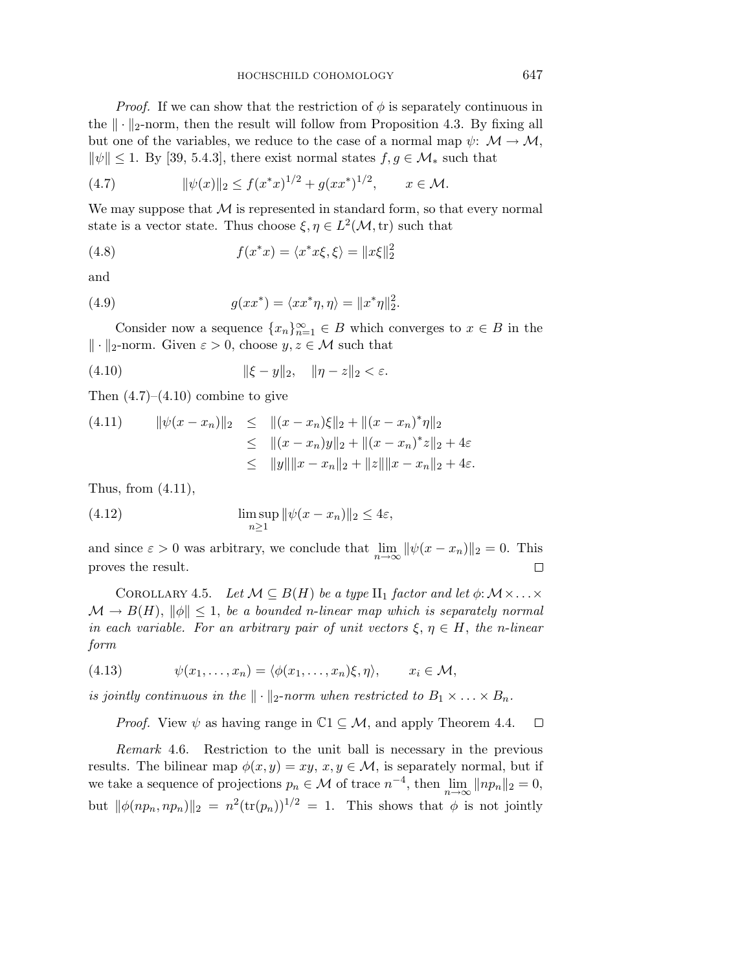*Proof.* If we can show that the restriction of  $\phi$  is separately continuous in the  $\|\cdot\|_2$ -norm, then the result will follow from Proposition 4.3. By fixing all but one of the variables, we reduce to the case of a normal map  $\psi: \mathcal{M} \to \mathcal{M}$ ,  $\|\psi\| \leq 1$ . By [39, 5.4.3], there exist normal states  $f, g \in \mathcal{M}_{*}$  such that

(4.7) 
$$
\|\psi(x)\|_2 \le f(x^*x)^{1/2} + g(xx^*)^{1/2}, \qquad x \in \mathcal{M}.
$$

We may suppose that  $M$  is represented in standard form, so that every normal state is a vector state. Thus choose  $\xi, \eta \in L^2(\mathcal{M}, \text{tr})$  such that

(4.8) 
$$
f(x^*x) = \langle x^*x\xi, \xi \rangle = ||x\xi||_2^2
$$

and

(4.9) 
$$
g(xx^*) = \langle xx^*\eta, \eta \rangle = ||x^*\eta||_2^2.
$$

Consider now a sequence  ${x_n}_{n=1}^{\infty} \in B$  which converges to  $x \in B$  in the  $\|\cdot\|_2$ -norm. Given  $\varepsilon > 0$ , choose  $y, z \in \mathcal{M}$  such that

(4.10) 
$$
\|\xi - y\|_2, \quad \|\eta - z\|_2 < \varepsilon.
$$

Then  $(4.7)$ – $(4.10)$  combine to give

$$
(4.11) \t ||\psi(x - x_n)||_2 \le ||(x - x_n)\xi||_2 + ||(x - x_n)^*\eta||_2
$$
  
\n
$$
\le ||(x - x_n)y||_2 + ||(x - x_n)^*z||_2 + 4\varepsilon
$$
  
\n
$$
\le ||y|| ||x - x_n||_2 + ||z|| ||x - x_n||_2 + 4\varepsilon.
$$

Thus, from  $(4.11)$ ,

(4.12) 
$$
\limsup_{n\geq 1} \|\psi(x - x_n)\|_2 \leq 4\varepsilon,
$$

and since  $\varepsilon > 0$  was arbitrary, we conclude that  $\lim_{n \to \infty} ||\psi(x - x_n)||_2 = 0$ . This proves the result.  $\Box$ 

COROLLARY 4.5. Let  $\mathcal{M} \subseteq B(H)$  be a type  $\Pi_1$  factor and let  $\phi: \mathcal{M} \times \ldots \times$  $\mathcal{M} \to B(H)$ ,  $\|\phi\| \leq 1$ , be a bounded n-linear map which is separately normal in each variable. For an arbitrary pair of unit vectors  $\xi, \eta \in H$ , the n-linear form

$$
(4.13) \t\t \psi(x_1,\ldots,x_n) = \langle \phi(x_1,\ldots,x_n)\xi,\eta \rangle, \t x_i \in \mathcal{M},
$$

is jointly continuous in the  $\|\cdot\|_2$ -norm when restricted to  $B_1 \times \ldots \times B_n$ .

*Proof.* View  $\psi$  as having range in  $\mathbb{C}1 \subseteq \mathcal{M}$ , and apply Theorem 4.4.  $\Box$ 

Remark 4.6. Restriction to the unit ball is necessary in the previous results. The bilinear map  $\phi(x, y) = xy, x, y \in \mathcal{M}$ , is separately normal, but if we take a sequence of projections  $p_n \in \mathcal{M}$  of trace  $n^{-4}$ , then  $\lim_{n \to \infty} ||np_n||_2 = 0$ , but  $\|\phi(np_n, np_n)\|_2 = n^2(\text{tr}(p_n))^{1/2} = 1$ . This shows that  $\phi$  is not jointly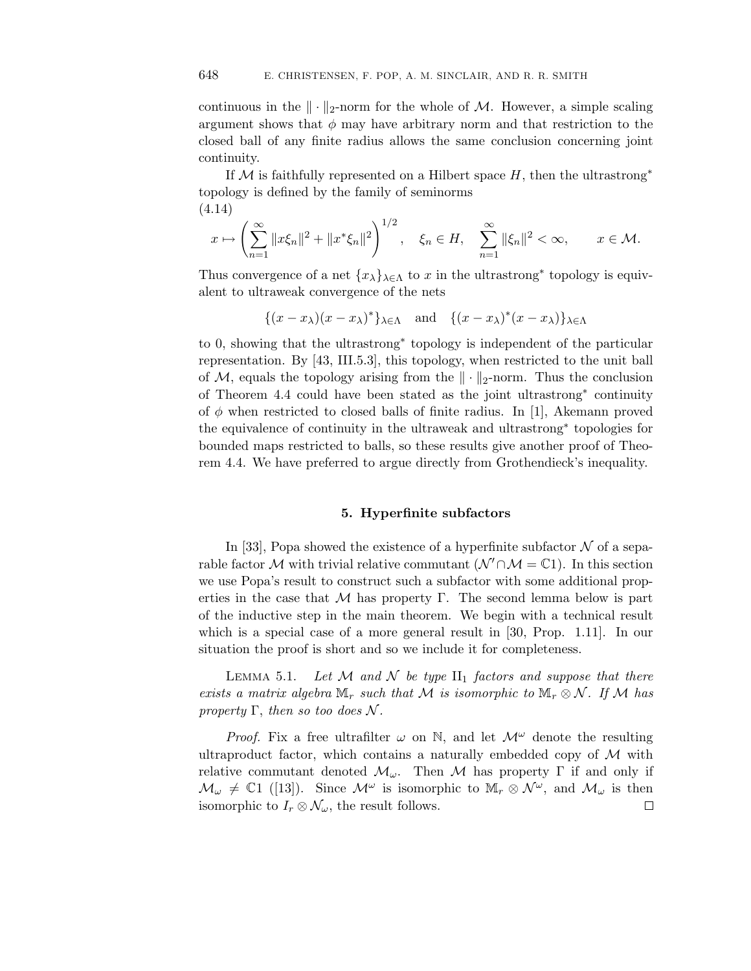continuous in the  $\|\cdot\|_2$ -norm for the whole of M. However, a simple scaling argument shows that  $\phi$  may have arbitrary norm and that restriction to the closed ball of any finite radius allows the same conclusion concerning joint continuity.

If M is faithfully represented on a Hilbert space  $H$ , then the ultrastrong<sup>\*</sup> topology is defined by the family of seminorms (4.14)

$$
x \mapsto \left(\sum_{n=1}^{\infty} \|x\xi_n\|^2 + \|x^*\xi_n\|^2\right)^{1/2}, \quad \xi_n \in H, \quad \sum_{n=1}^{\infty} \|\xi_n\|^2 < \infty, \qquad x \in \mathcal{M}.
$$

Thus convergence of a net  $\{x_{\lambda}\}_{\lambda \in \Lambda}$  to x in the ultrastrong<sup>\*</sup> topology is equivalent to ultraweak convergence of the nets

$$
\{(x-x_{\lambda})(x-x_{\lambda})^*\}_{\lambda \in \Lambda} \quad \text{and} \quad \{(x-x_{\lambda})^*(x-x_{\lambda})\}_{\lambda \in \Lambda}
$$

to 0, showing that the ultrastrong∗ topology is independent of the particular representation. By [43, III.5.3], this topology, when restricted to the unit ball of M, equals the topology arising from the  $\|\cdot\|_2$ -norm. Thus the conclusion of Theorem 4.4 could have been stated as the joint ultrastrong∗ continuity of  $\phi$  when restricted to closed balls of finite radius. In [1], Akemann proved the equivalence of continuity in the ultraweak and ultrastrong∗ topologies for bounded maps restricted to balls, so these results give another proof of Theorem 4.4. We have preferred to argue directly from Grothendieck's inequality.

## **5. Hyperfinite subfactors**

In [33], Popa showed the existence of a hyperfinite subfactor  $\mathcal N$  of a separable factor M with trivial relative commutant  $(\mathcal{N}' \cap \mathcal{M} = \mathbb{C}1)$ . In this section we use Popa's result to construct such a subfactor with some additional properties in the case that  $\mathcal M$  has property Γ. The second lemma below is part of the inductive step in the main theorem. We begin with a technical result which is a special case of a more general result in [30, Prop. 1.11]. In our situation the proof is short and so we include it for completeness.

LEMMA 5.1. Let M and N be type  $\text{II}_1$  factors and suppose that there exists a matrix algebra  $\mathbb{M}_r$  such that M is isomorphic to  $\mathbb{M}_r \otimes \mathcal{N}$ . If M has property  $\Gamma$ , then so too does N.

*Proof.* Fix a free ultrafilter  $\omega$  on N, and let  $\mathcal{M}^{\omega}$  denote the resulting ultraproduct factor, which contains a naturally embedded copy of  $M$  with relative commutant denoted  $\mathcal{M}_{\omega}$ . Then M has property  $\Gamma$  if and only if  $\mathcal{M}_{\omega} \neq \mathbb{C}1$  ([13]). Since  $\mathcal{M}^{\omega}$  is isomorphic to  $\mathbb{M}_{r} \otimes \mathcal{N}^{\omega}$ , and  $\mathcal{M}_{\omega}$  is then isomorphic to  $I_r \otimes \mathcal{N}_{\omega}$ , the result follows.  $\Box$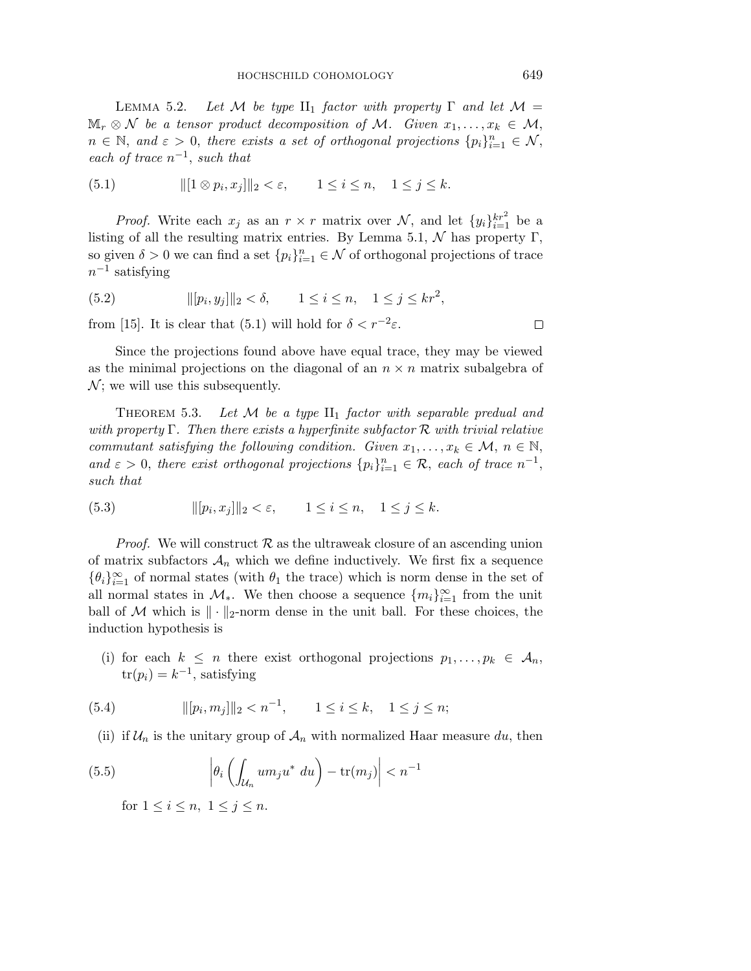LEMMA 5.2. Let M be type II<sub>1</sub> factor with property  $\Gamma$  and let  $\mathcal{M} =$  $\mathbb{M}_r \otimes \mathcal{N}$  be a tensor product decomposition of M. Given  $x_1, \ldots, x_k \in \mathcal{M}$ ,  $n \in \mathbb{N}$ , and  $\varepsilon > 0$ , there exists a set of orthogonal projections  $\{p_i\}_{i=1}^n \in \mathcal{N}$ , each of trace  $n^{-1}$ , such that

(5.1) 
$$
\| [1 \otimes p_i, x_j] \|_2 < \varepsilon, \qquad 1 \le i \le n, \quad 1 \le j \le k.
$$

*Proof.* Write each  $x_j$  as an  $r \times r$  matrix over  $\mathcal{N}$ , and let  $\{y_i\}_{i=1}^{kr^2}$  be a listing of all the resulting matrix entries. By Lemma 5.1,  $\mathcal N$  has property Γ, so given  $\delta > 0$  we can find a set  $\{p_i\}_{i=1}^n \in \mathcal{N}$  of orthogonal projections of trace  $n^{-1}$  satisfying

(5.2) 
$$
||[p_i, y_j]||_2 < \delta, \qquad 1 \le i \le n, \quad 1 \le j \le kr^2,
$$
from [15]. It is clear that (5.1) will hold for  $\delta < r^{-2}\varepsilon$ .

Since the projections found above have equal trace, they may be viewed as the minimal projections on the diagonal of an  $n \times n$  matrix subalgebra of  $\mathcal{N}$ ; we will use this subsequently.

THEOREM 5.3. Let  $\mathcal M$  be a type  $\text{II}_1$  factor with separable predual and with property  $\Gamma$ . Then there exists a hyperfinite subfactor  $\mathcal R$  with trivial relative commutant satisfying the following condition. Given  $x_1, \ldots, x_k \in \mathcal{M}, n \in \mathbb{N}$ , and  $\varepsilon > 0$ , there exist orthogonal projections  $\{p_i\}_{i=1}^n \in \mathcal{R}$ , each of trace  $n^{-1}$ , such that

(5.3) 
$$
\|[p_i, x_j]\|_2 < \varepsilon, \qquad 1 \le i \le n, \quad 1 \le j \le k.
$$

*Proof.* We will construct  $\mathcal{R}$  as the ultraweak closure of an ascending union of matrix subfactors  $A_n$  which we define inductively. We first fix a sequence  $\{\theta_i\}_{i=1}^{\infty}$  of normal states (with  $\theta_1$  the trace) which is norm dense in the set of all normal states in  $\mathcal{M}_{*}$ . We then choose a sequence  $\{m_i\}_{i=1}^{\infty}$  from the unit ball of M which is  $\|\cdot\|_2$ -norm dense in the unit ball. For these choices, the induction hypothesis is

(i) for each  $k \leq n$  there exist orthogonal projections  $p_1, \ldots, p_k \in A_n$ ,  $tr(p_i) = k^{-1}$ , satisfying

(5.4) 
$$
||[p_i, m_j]||_2 < n^{-1}, \qquad 1 \le i \le k, \quad 1 \le j \le n;
$$

(ii) if  $\mathcal{U}_n$  is the unitary group of  $\mathcal{A}_n$  with normalized Haar measure du, then

(5.5) 
$$
\left| \theta_i \left( \int_{\mathcal{U}_n} u m_j u^* du \right) - \text{tr}(m_j) \right| < n^{-1}
$$
  
for  $1 \le i \le n, 1 \le j \le n$ .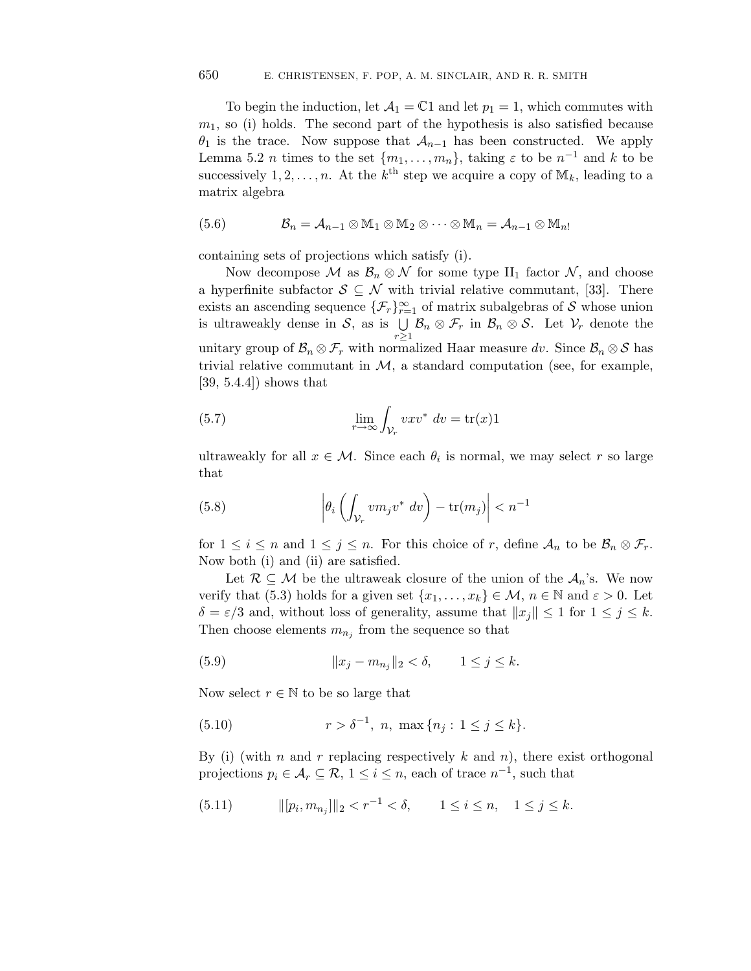To begin the induction, let  $\mathcal{A}_1 = \mathbb{C}1$  and let  $p_1 = 1$ , which commutes with  $m_1$ , so (i) holds. The second part of the hypothesis is also satisfied because  $\theta_1$  is the trace. Now suppose that  $\mathcal{A}_{n-1}$  has been constructed. We apply Lemma 5.2 *n* times to the set  $\{m_1, \ldots, m_n\}$ , taking  $\varepsilon$  to be  $n^{-1}$  and k to be successively  $1, 2, \ldots, n$ . At the  $k^{\text{th}}$  step we acquire a copy of  $\mathbb{M}_k$ , leading to a matrix algebra

(5.6) 
$$
\mathcal{B}_n = \mathcal{A}_{n-1} \otimes \mathbb{M}_1 \otimes \mathbb{M}_2 \otimes \cdots \otimes \mathbb{M}_n = \mathcal{A}_{n-1} \otimes \mathbb{M}_n
$$

containing sets of projections which satisfy (i).

Now decompose M as  $\mathcal{B}_n \otimes \mathcal{N}$  for some type  $\text{II}_1$  factor N, and choose a hyperfinite subfactor  $S \subseteq \mathcal{N}$  with trivial relative commutant, [33]. There exists an ascending sequence  $\{\mathcal{F}_r\}_{r=1}^{\infty}$  of matrix subalgebras of S whose union is ultraweakly dense in  $S$ , as is  $\bigcup$  $r \geq 1$  $\mathcal{B}_n \otimes \mathcal{F}_r$  in  $\mathcal{B}_n \otimes \mathcal{S}$ . Let  $\mathcal{V}_r$  denote the unitary group of  $\mathcal{B}_n \otimes \mathcal{F}_r$  with normalized Haar measure dv. Since  $\mathcal{B}_n \otimes \mathcal{S}$  has trivial relative commutant in  $\mathcal{M}$ , a standard computation (see, for example, [39, 5.4.4]) shows that

(5.7) 
$$
\lim_{r \to \infty} \int_{\mathcal{V}_r} vxv^* dv = \text{tr}(x)1
$$

ultraweakly for all  $x \in \mathcal{M}$ . Since each  $\theta_i$  is normal, we may select r so large that

(5.8) 
$$
\left| \theta_i \left( \int_{\mathcal{V}_r} v m_j v^* dv \right) - \text{tr}(m_j) \right| < n^{-1}
$$

for  $1 \leq i \leq n$  and  $1 \leq j \leq n$ . For this choice of r, define  $A_n$  to be  $\mathcal{B}_n \otimes \mathcal{F}_r$ . Now both (i) and (ii) are satisfied.

Let  $\mathcal{R} \subseteq \mathcal{M}$  be the ultraweak closure of the union of the  $\mathcal{A}_n$ 's. We now verify that (5.3) holds for a given set  $\{x_1,\ldots,x_k\} \in \mathcal{M}, n \in \mathbb{N}$  and  $\varepsilon > 0$ . Let  $\delta = \varepsilon/3$  and, without loss of generality, assume that  $||x_j|| \leq 1$  for  $1 \leq j \leq k$ . Then choose elements  $m_{n_j}$  from the sequence so that

(5.9) 
$$
||x_j - m_{n_j}||_2 < \delta, \qquad 1 \le j \le k.
$$

Now select  $r \in \mathbb{N}$  to be so large that

(5.10) 
$$
r > \delta^{-1}, n, \max\{n_j : 1 \le j \le k\}.
$$

By (i) (with n and r replacing respectively k and n), there exist orthogonal projections  $p_i \in \mathcal{A}_r \subseteq \mathcal{R}, 1 \leq i \leq n$ , each of trace  $n^{-1}$ , such that

(5.11) 
$$
\|[p_i, m_{n_j}]\|_2 < r^{-1} < \delta, \qquad 1 \le i \le n, \quad 1 \le j \le k.
$$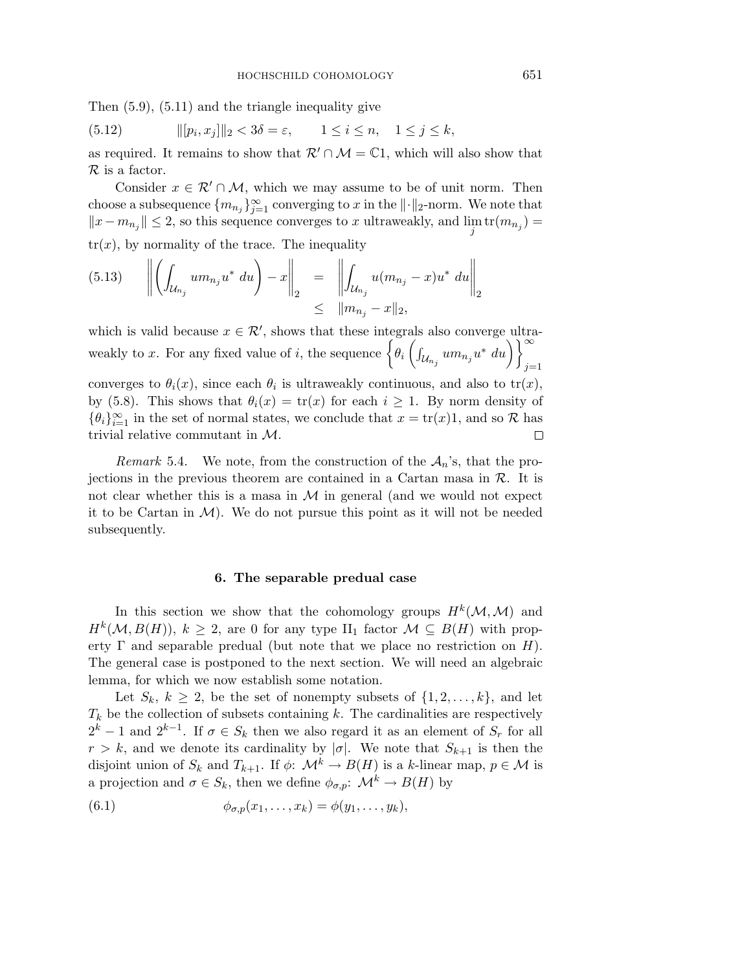Then (5.9), (5.11) and the triangle inequality give

(5.12) 
$$
\|[p_i, x_j]\|_2 < 3\delta = \varepsilon, \qquad 1 \le i \le n, \quad 1 \le j \le k,
$$

as required. It remains to show that  $\mathcal{R}' \cap \mathcal{M} = \mathbb{C}1$ , which will also show that R is a factor.

Consider  $x \in \mathcal{R}' \cap \mathcal{M}$ , which we may assume to be of unit norm. Then choose a subsequence  ${m_{n_j}}_{j=1}^{\infty}$  converging to x in the  $\lVert \cdot \rVert_2$ -norm. We note that  $||x - m_{n_j}|| \leq 2$ , so this sequence converges to x ultraweakly, and  $\lim_{j}$  tr $(m_{n_j}) =$  $tr(x)$ , by normality of the trace. The inequality

$$
(5.13) \qquad \left\| \left( \int_{\mathcal{U}_{n_j}} u m_{n_j} u^* \ du \right) - x \right\|_2 \quad = \quad \left\| \int_{\mathcal{U}_{n_j}} u (m_{n_j} - x) u^* \ du \right\|_2 \\ \leq \quad \left\| m_{n_j} - x \right\|_2,
$$

which is valid because  $x \in \mathcal{R}'$ , shows that these integrals also converge ultraweakly to x. For any fixed value of i, the sequence  $\left\{\theta_i \left(\int_{\mathcal{U}_{n_j}} u m_{n_j} u^* du\right)\right\}_{i=1}^{\infty}$  $j=1$ converges to  $\theta_i(x)$ , since each  $\theta_i$  is ultraweakly continuous, and also to  $tr(x)$ ,

by (5.8). This shows that  $\theta_i(x) = \text{tr}(x)$  for each  $i \geq 1$ . By norm density of  $\{\theta_i\}_{i=1}^{\infty}$  in the set of normal states, we conclude that  $x = \text{tr}(x)1$ , and so R has trivial relative commutant in M.  $\Box$ 

Remark 5.4. We note, from the construction of the  $A_n$ 's, that the projections in the previous theorem are contained in a Cartan masa in  $R$ . It is not clear whether this is a masa in  $M$  in general (and we would not expect it to be Cartan in  $\mathcal{M}$ ). We do not pursue this point as it will not be needed subsequently.

### **6. The separable predual case**

In this section we show that the cohomology groups  $H^k(\mathcal{M},\mathcal{M})$  and  $H^k(\mathcal{M}, B(H))$ ,  $k \geq 2$ , are 0 for any type  $\text{II}_1$  factor  $\mathcal{M} \subseteq B(H)$  with property  $\Gamma$  and separable predual (but note that we place no restriction on H). The general case is postponed to the next section. We will need an algebraic lemma, for which we now establish some notation.

Let  $S_k$ ,  $k \geq 2$ , be the set of nonempty subsets of  $\{1, 2, \ldots, k\}$ , and let  $T_k$  be the collection of subsets containing k. The cardinalities are respectively  $2^k - 1$  and  $2^{k-1}$ . If  $\sigma \in S_k$  then we also regard it as an element of  $S_r$  for all  $r > k$ , and we denote its cardinality by  $|\sigma|$ . We note that  $S_{k+1}$  is then the disjoint union of  $S_k$  and  $T_{k+1}$ . If  $\phi: \mathcal{M}^k \to B(H)$  is a k-linear map,  $p \in \mathcal{M}$  is a projection and  $\sigma \in S_k$ , then we define  $\phi_{\sigma,p}$ :  $\mathcal{M}^k \to B(H)$  by

(6.1) 
$$
\phi_{\sigma,p}(x_1,\ldots,x_k)=\phi(y_1,\ldots,y_k),
$$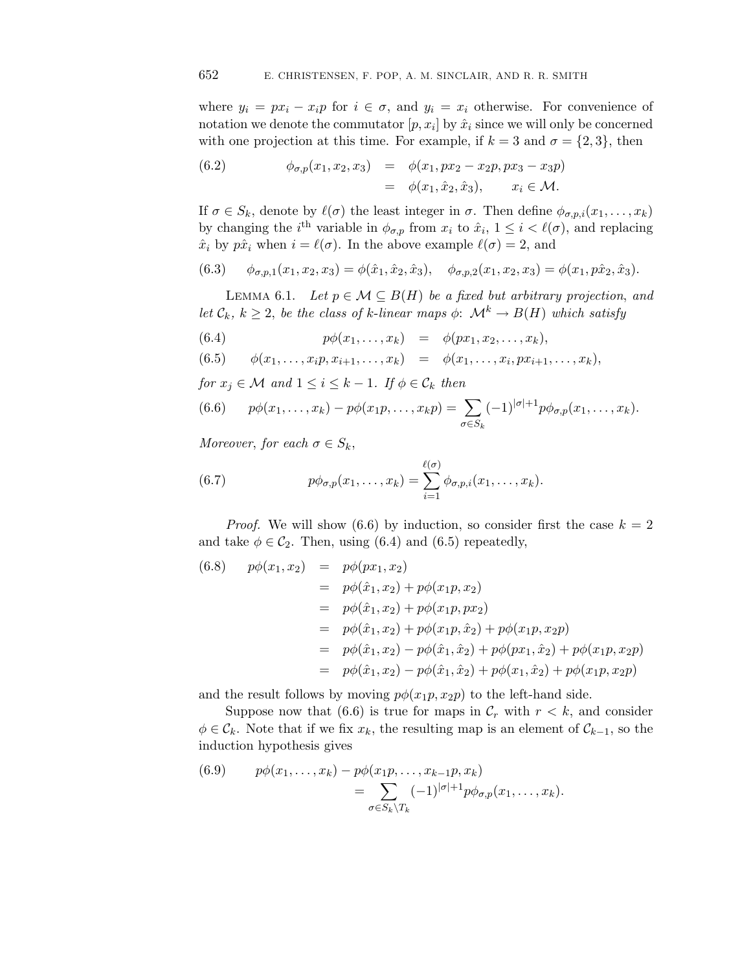where  $y_i = px_i - x_i p$  for  $i \in \sigma$ , and  $y_i = x_i$  otherwise. For convenience of notation we denote the commutator  $[p, x_i]$  by  $\hat{x}_i$  since we will only be concerned with one projection at this time. For example, if  $k = 3$  and  $\sigma = \{2, 3\}$ , then

(6.2) 
$$
\phi_{\sigma,p}(x_1, x_2, x_3) = \phi(x_1, px_2 - x_2p, px_3 - x_3p) \n= \phi(x_1, \hat{x}_2, \hat{x}_3), \quad x_i \in \mathcal{M}.
$$

If  $\sigma \in S_k$ , denote by  $\ell(\sigma)$  the least integer in  $\sigma$ . Then define  $\phi_{\sigma,p,i}(x_1,\ldots,x_k)$ by changing the i<sup>th</sup> variable in  $\phi_{\sigma,p}$  from  $x_i$  to  $\hat{x}_i$ ,  $1 \leq i \leq \ell(\sigma)$ , and replacing  $\hat{x}_i$  by  $p\hat{x}_i$  when  $i = \ell(\sigma)$ . In the above example  $\ell(\sigma) = 2$ , and

(6.3) 
$$
\phi_{\sigma,p,1}(x_1, x_2, x_3) = \phi(\hat{x}_1, \hat{x}_2, \hat{x}_3), \quad \phi_{\sigma,p,2}(x_1, x_2, x_3) = \phi(x_1, p\hat{x}_2, \hat{x}_3).
$$

LEMMA 6.1. Let  $p \in \mathcal{M} \subseteq B(H)$  be a fixed but arbitrary projection, and let  $\mathcal{C}_k$ ,  $k \geq 2$ , be the class of k-linear maps  $\phi: \mathcal{M}^k \to B(H)$  which satisfy

(6.4) 
$$
p\phi(x_1,...,x_k) = \phi(px_1, x_2,...,x_k),
$$

$$
(6.5) \qquad \phi(x_1,\ldots,x_ip,x_{i+1},\ldots,x_k) \quad = \quad \phi(x_1,\ldots,x_i,px_{i+1},\ldots,x_k),
$$

for  $x_i \in \mathcal{M}$  and  $1 \leq i \leq k-1$ . If  $\phi \in \mathcal{C}_k$  then

(6.6) 
$$
p\phi(x_1,\ldots,x_k)-p\phi(x_1p,\ldots,x_kp)=\sum_{\sigma\in S_k}(-1)^{|\sigma|+1}p\phi_{\sigma,p}(x_1,\ldots,x_k).
$$

Moreover, for each  $\sigma \in S_k$ ,

(6.7) 
$$
p\phi_{\sigma,p}(x_1,\ldots,x_k)=\sum_{i=1}^{\ell(\sigma)}\phi_{\sigma,p,i}(x_1,\ldots,x_k).
$$

*Proof.* We will show (6.6) by induction, so consider first the case  $k = 2$ and take  $\phi \in C_2$ . Then, using (6.4) and (6.5) repeatedly,

(6.8) 
$$
p\phi(x_1, x_2) = p\phi(px_1, x_2)
$$
  
\n
$$
= p\phi(\hat{x}_1, x_2) + p\phi(x_1p, x_2)
$$
  
\n
$$
= p\phi(\hat{x}_1, x_2) + p\phi(x_1p, px_2)
$$
  
\n
$$
= p\phi(\hat{x}_1, x_2) + p\phi(x_1p, \hat{x}_2) + p\phi(x_1p, x_2p)
$$
  
\n
$$
= p\phi(\hat{x}_1, x_2) - p\phi(\hat{x}_1, \hat{x}_2) + p\phi(px_1, \hat{x}_2) + p\phi(x_1p, x_2p)
$$
  
\n
$$
= p\phi(\hat{x}_1, x_2) - p\phi(\hat{x}_1, \hat{x}_2) + p\phi(x_1, \hat{x}_2) + p\phi(x_1p, x_2p)
$$

and the result follows by moving  $p\phi(x_1p, x_2p)$  to the left-hand side.

Suppose now that (6.6) is true for maps in  $\mathcal{C}_r$  with  $r < k$ , and consider  $\phi \in \mathcal{C}_k$ . Note that if we fix  $x_k$ , the resulting map is an element of  $\mathcal{C}_{k-1}$ , so the induction hypothesis gives

(6.9) 
$$
p\phi(x_1,\ldots,x_k) - p\phi(x_1p,\ldots,x_{k-1}p,x_k) = \sum_{\sigma \in S_k \backslash T_k} (-1)^{|\sigma|+1} p\phi_{\sigma,p}(x_1,\ldots,x_k).
$$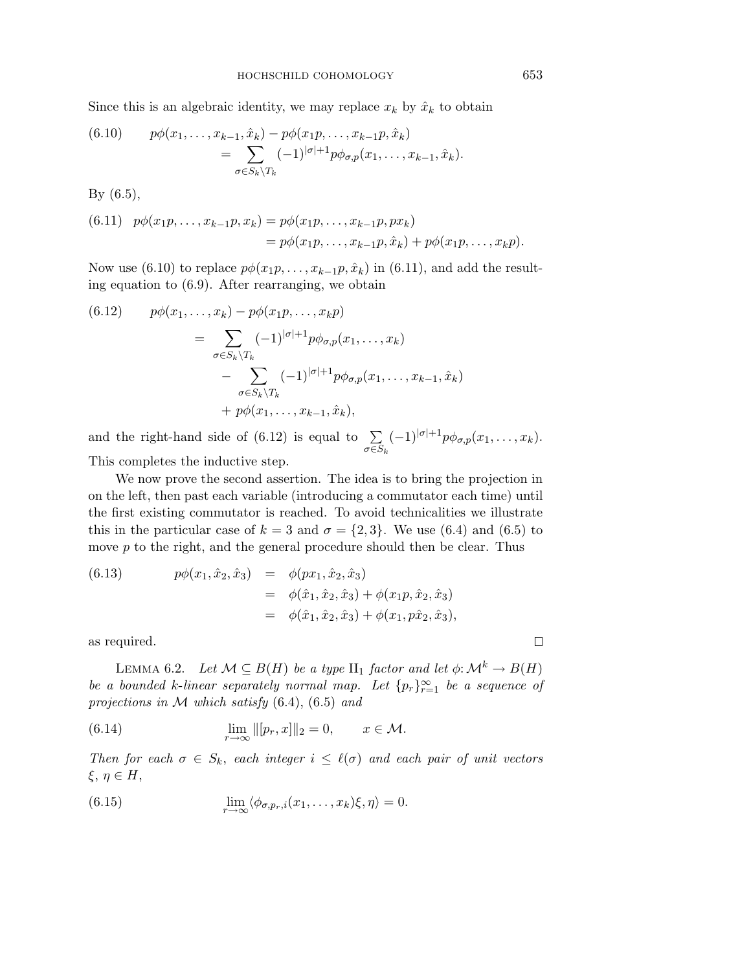Since this is an algebraic identity, we may replace  $x_k$  by  $\hat{x}_k$  to obtain

(6.10) 
$$
p\phi(x_1, ..., x_{k-1}, \hat{x}_k) - p\phi(x_1p, ..., x_{k-1}p, \hat{x}_k) = \sum_{\sigma \in S_k \backslash T_k} (-1)^{|\sigma|+1} p\phi_{\sigma, p}(x_1, ..., x_{k-1}, \hat{x}_k).
$$

By (6.5),

(6.11) 
$$
p\phi(x_1p, ..., x_{k-1}p, x_k) = p\phi(x_1p, ..., x_{k-1}p, px_k)
$$
  
=  $p\phi(x_1p, ..., x_{k-1}p, \hat{x}_k) + p\phi(x_1p, ..., x_kp).$ 

Now use (6.10) to replace  $p\phi(x_1p,\ldots,x_{k-1}p,\hat{x}_k)$  in (6.11), and add the resulting equation to (6.9). After rearranging, we obtain

(6.12) 
$$
p\phi(x_1,\ldots,x_k) - p\phi(x_1p,\ldots,x_kp)
$$

$$
= \sum_{\sigma \in S_k \backslash T_k} (-1)^{|\sigma|+1} p\phi_{\sigma,p}(x_1,\ldots,x_k)
$$

$$
- \sum_{\sigma \in S_k \backslash T_k} (-1)^{|\sigma|+1} p\phi_{\sigma,p}(x_1,\ldots,x_{k-1},\hat{x}_k)
$$

$$
+ p\phi(x_1,\ldots,x_{k-1},\hat{x}_k),
$$

and the right-hand side of  $(6.12)$  is equal to  $\Sigma$ σ∈S*<sup>k</sup>*  $(-1)^{|\sigma|+1}p\phi_{\sigma,p}(x_1,\ldots,x_k).$ This completes the inductive step.

We now prove the second assertion. The idea is to bring the projection in on the left, then past each variable (introducing a commutator each time) until

the first existing commutator is reached. To avoid technicalities we illustrate this in the particular case of  $k = 3$  and  $\sigma = \{2, 3\}$ . We use (6.4) and (6.5) to move  $p$  to the right, and the general procedure should then be clear. Thus

(6.13) 
$$
p\phi(x_1, \hat{x}_2, \hat{x}_3) = \phi(px_1, \hat{x}_2, \hat{x}_3) = \phi(\hat{x}_1, \hat{x}_2, \hat{x}_3) + \phi(x_1p, \hat{x}_2, \hat{x}_3) = \phi(\hat{x}_1, \hat{x}_2, \hat{x}_3) + \phi(x_1, p\hat{x}_2, \hat{x}_3),
$$

as required.

LEMMA 6.2. Let  $\mathcal{M} \subseteq B(H)$  be a type  $\text{II}_1$  factor and let  $\phi \colon \mathcal{M}^k \to B(H)$ be a bounded k-linear separately normal map. Let  ${p_r}_{r=1}^{\infty}$  be a sequence of projections in  $M$  which satisfy (6.4), (6.5) and

(6.14) 
$$
\lim_{r \to \infty} ||[p_r, x]||_2 = 0, \qquad x \in \mathcal{M}.
$$

Then for each  $\sigma \in S_k$ , each integer  $i \leq \ell(\sigma)$  and each pair of unit vectors ξ, η ∈ H,

(6.15) 
$$
\lim_{r \to \infty} \langle \phi_{\sigma, p_r, i}(x_1, \dots, x_k) \xi, \eta \rangle = 0.
$$

 $\Box$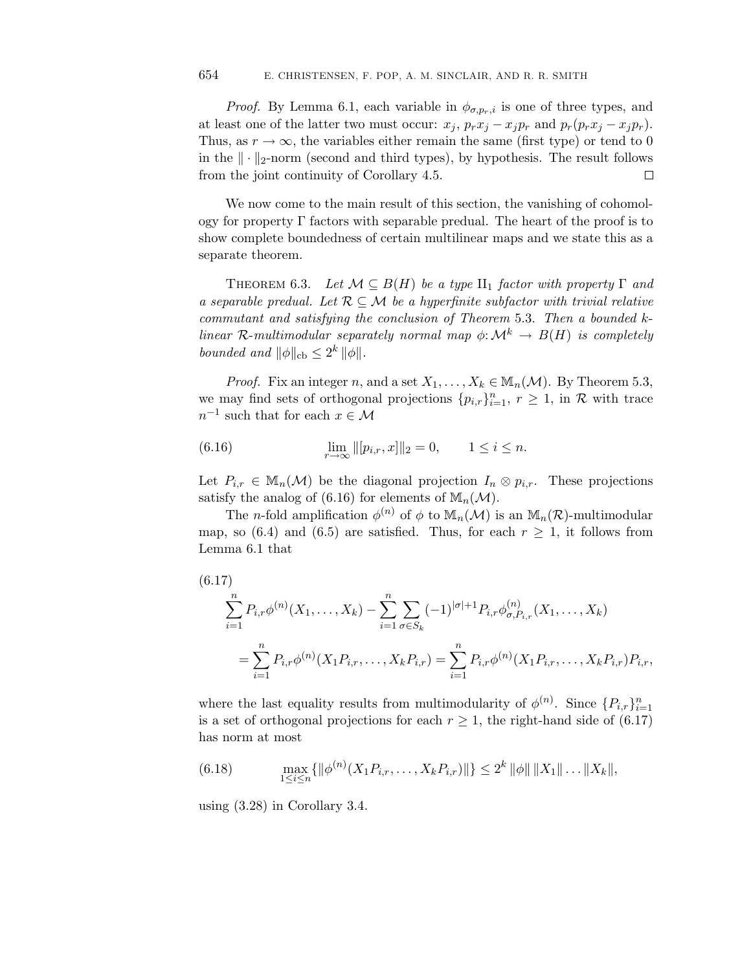*Proof.* By Lemma 6.1, each variable in  $\phi_{\sigma,p_r,i}$  is one of three types, and at least one of the latter two must occur:  $x_j$ ,  $p_rx_j - x_jp_r$  and  $p_r(p_rx_j - x_jp_r)$ . Thus, as  $r \to \infty$ , the variables either remain the same (first type) or tend to 0 in the  $\|\cdot\|_2$ -norm (second and third types), by hypothesis. The result follows from the joint continuity of Corollary 4.5.  $\Box$ 

We now come to the main result of this section, the vanishing of cohomology for property  $\Gamma$  factors with separable predual. The heart of the proof is to show complete boundedness of certain multilinear maps and we state this as a separate theorem.

THEOREM 6.3. Let  $\mathcal{M} \subseteq B(H)$  be a type  $\Pi_1$  factor with property  $\Gamma$  and a separable predual. Let  $\mathcal{R} \subseteq \mathcal{M}$  be a hyperfinite subfactor with trivial relative commutant and satisfying the conclusion of Theorem 5.3. Then a bounded klinear R-multimodular separately normal map  $\phi: \mathcal{M}^k \to B(H)$  is completely bounded and  $\|\phi\|_{\text{cb}} \leq 2^k \|\phi\|.$ 

*Proof.* Fix an integer n, and a set  $X_1, \ldots, X_k \in \mathbb{M}_n(\mathcal{M})$ . By Theorem 5.3, we may find sets of orthogonal projections  $\{p_{i,r}\}_{i=1}^n$ ,  $r \geq 1$ , in R with trace  $n^{-1}$  such that for each  $x \in \mathcal{M}$ 

(6.16) 
$$
\lim_{r \to \infty} ||[p_{i,r}, x]||_2 = 0, \qquad 1 \le i \le n.
$$

Let  $P_{i,r} \in \mathbb{M}_n(\mathcal{M})$  be the diagonal projection  $I_n \otimes p_{i,r}$ . These projections satisfy the analog of (6.16) for elements of  $\mathbb{M}_n(\mathcal{M})$ .

The *n*-fold amplification  $\phi^{(n)}$  of  $\phi$  to  $\mathbb{M}_n(\mathcal{M})$  is an  $\mathbb{M}_n(\mathcal{R})$ -multimodular map, so (6.4) and (6.5) are satisfied. Thus, for each  $r \geq 1$ , it follows from Lemma 6.1 that

$$
(6.17)
$$
\n
$$
\sum_{i=1}^{n} P_{i,r} \phi^{(n)}(X_1, \dots, X_k) - \sum_{i=1}^{n} \sum_{\sigma \in S_k} (-1)^{|\sigma|+1} P_{i,r} \phi^{(n)}_{\sigma, P_{i,r}}(X_1, \dots, X_k)
$$
\n
$$
= \sum_{i=1}^{n} P_{i,r} \phi^{(n)}(X_1 P_{i,r}, \dots, X_k P_{i,r}) = \sum_{i=1}^{n} P_{i,r} \phi^{(n)}(X_1 P_{i,r}, \dots, X_k P_{i,r}) P_{i,r},
$$

where the last equality results from multimodularity of  $\phi^{(n)}$ . Since  $\{P_{i,r}\}_{i=1}^n$ is a set of orthogonal projections for each  $r \geq 1$ , the right-hand side of (6.17) has norm at most

(6.18) 
$$
\max_{1 \leq i \leq n} \{ \|\phi^{(n)}(X_1 P_{i,r}, \dots, X_k P_{i,r})\| \} \leq 2^k \|\phi\| \|X_1\| \dots \|X_k\|,
$$

using (3.28) in Corollary 3.4.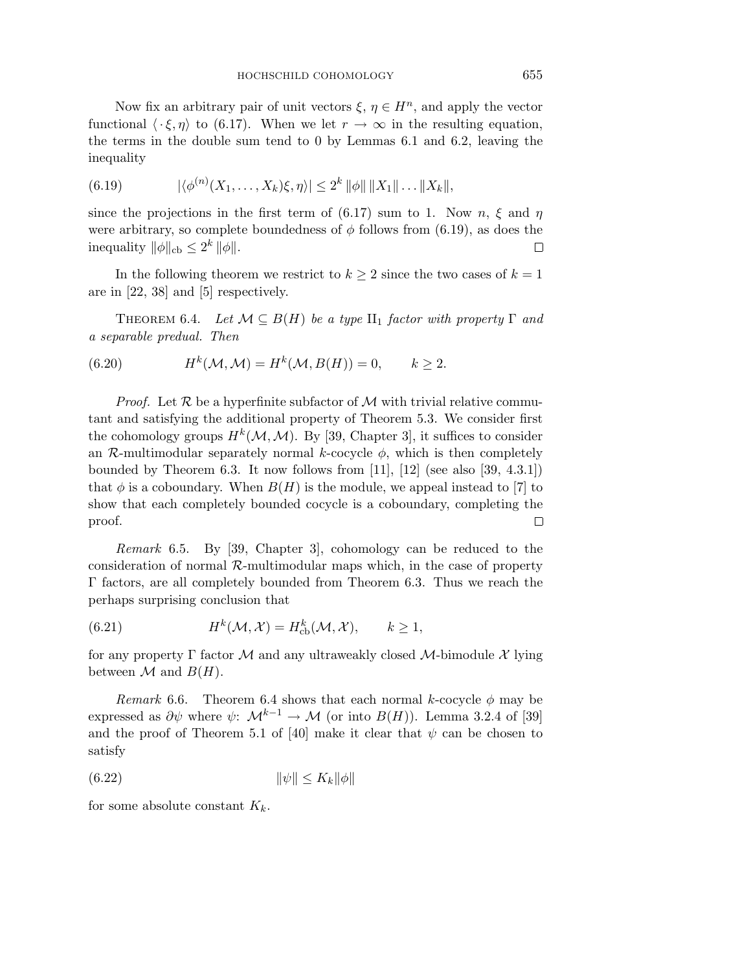Now fix an arbitrary pair of unit vectors  $\xi, \eta \in H^n$ , and apply the vector functional  $\langle \cdot \xi, \eta \rangle$  to (6.17). When we let  $r \to \infty$  in the resulting equation, the terms in the double sum tend to 0 by Lemmas 6.1 and 6.2, leaving the inequality

(6.19) 
$$
|\langle \phi^{(n)}(X_1,\ldots,X_k)\xi,\eta \rangle| \leq 2^k \|\phi\| \|X_1\| \ldots \|X_k\|,
$$

since the projections in the first term of (6.17) sum to 1. Now n,  $\xi$  and  $\eta$ were arbitrary, so complete boundedness of  $\phi$  follows from (6.19), as does the inequality  $\|\phi\|_{\text{cb}} \leq 2^k \|\phi\|.$  $\Box$ 

In the following theorem we restrict to  $k \geq 2$  since the two cases of  $k = 1$ are in [22, 38] and [5] respectively.

THEOREM 6.4. Let  $\mathcal{M} \subseteq B(H)$  be a type  $\text{II}_1$  factor with property  $\Gamma$  and a separable predual. Then

(6.20) 
$$
H^k(\mathcal{M}, \mathcal{M}) = H^k(\mathcal{M}, B(H)) = 0, \qquad k \ge 2.
$$

*Proof.* Let  $\mathcal{R}$  be a hyperfinite subfactor of  $\mathcal{M}$  with trivial relative commutant and satisfying the additional property of Theorem 5.3. We consider first the cohomology groups  $H^k(\mathcal{M},\mathcal{M})$ . By [39, Chapter 3], it suffices to consider an  $\mathcal{R}$ -multimodular separately normal k-cocycle  $\phi$ , which is then completely bounded by Theorem 6.3. It now follows from [11], [12] (see also [39, 4.3.1]) that  $\phi$  is a coboundary. When  $B(H)$  is the module, we appeal instead to [7] to show that each completely bounded cocycle is a coboundary, completing the proof.  $\Box$ 

Remark 6.5. By [39, Chapter 3], cohomology can be reduced to the consideration of normal  $\mathcal{R}$ -multimodular maps which, in the case of property Γ factors, are all completely bounded from Theorem 6.3. Thus we reach the perhaps surprising conclusion that

(6.21) 
$$
H^k(\mathcal{M}, \mathcal{X}) = H^k_{\text{cb}}(\mathcal{M}, \mathcal{X}), \qquad k \ge 1,
$$

for any property Γ factor M and any ultraweakly closed M-bimodule  $\mathcal X$  lying between  $\mathcal M$  and  $B(H)$ .

Remark 6.6. Theorem 6.4 shows that each normal k-cocycle  $\phi$  may be expressed as  $\partial \psi$  where  $\psi: \mathcal{M}^{k-1} \to \mathcal{M}$  (or into  $B(H)$ ). Lemma 3.2.4 of [39] and the proof of Theorem 5.1 of [40] make it clear that  $\psi$  can be chosen to satisfy

$$
(6.22) \t\t\t\t \|\psi\| \le K_k \|\phi\|
$$

for some absolute constant  $K_k$ .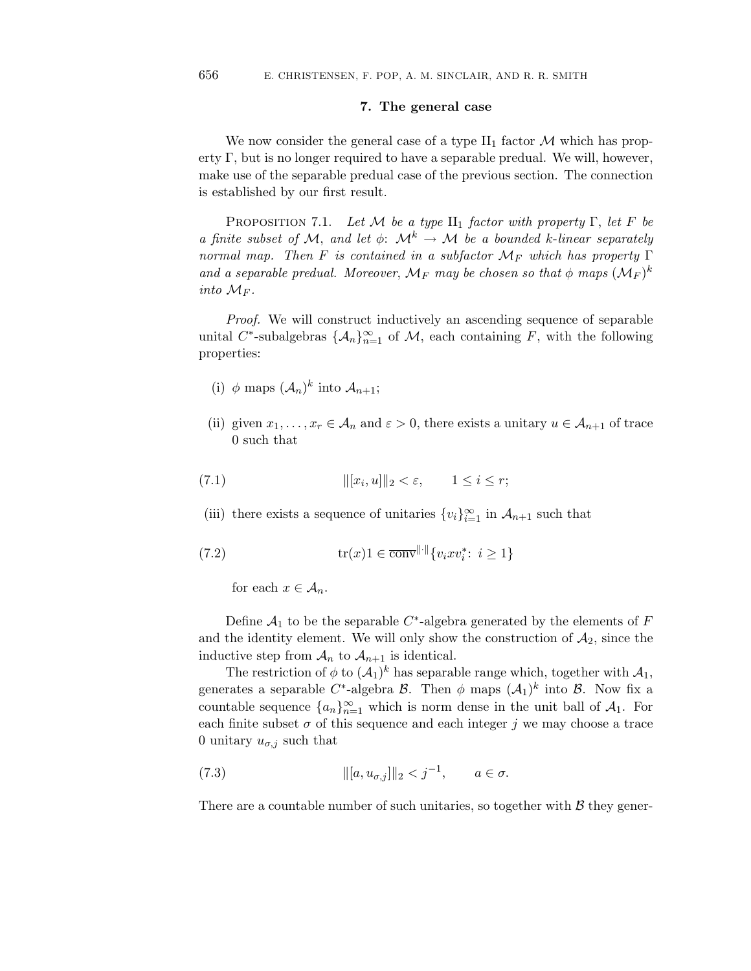## **7. The general case**

We now consider the general case of a type  $II_1$  factor M which has property Γ, but is no longer required to have a separable predual. We will, however, make use of the separable predual case of the previous section. The connection is established by our first result.

PROPOSITION 7.1. Let M be a type  $II_1$  factor with property Γ, let F be a finite subset of M, and let  $\phi: \mathcal{M}^k \to \mathcal{M}$  be a bounded k-linear separately normal map. Then F is contained in a subfactor  $\mathcal{M}_F$  which has property  $\Gamma$ and a separable predual. Moreover,  $\mathcal{M}_F$  may be chosen so that  $\phi$  maps  $(\mathcal{M}_F)^k$ into  $\mathcal{M}_F$ .

Proof. We will construct inductively an ascending sequence of separable unital C<sup>\*</sup>-subalgebras  $\{\mathcal{A}_n\}_{n=1}^{\infty}$  of M, each containing F, with the following properties:

- (i)  $\phi$  maps  $(\mathcal{A}_n)^k$  into  $\mathcal{A}_{n+1}$ ;
- (ii) given  $x_1, \ldots, x_r \in A_n$  and  $\varepsilon > 0$ , there exists a unitary  $u \in A_{n+1}$  of trace 0 such that

$$
||(x_i, u)||_2 < \varepsilon, \qquad 1 \le i \le r;
$$

(iii) there exists a sequence of unitaries  $\{v_i\}_{i=1}^{\infty}$  in  $\mathcal{A}_{n+1}$  such that

$$
(7.2) \quad tr(x)1 \in \overline{\text{conv}}^{\|\cdot\|}\{v_ixv_i^* : i \ge 1\}
$$

for each  $x \in A_n$ .

Define  $A_1$  to be the separable  $C^*$ -algebra generated by the elements of F and the identity element. We will only show the construction of  $A_2$ , since the inductive step from  $A_n$  to  $A_{n+1}$  is identical.

The restriction of  $\phi$  to  $(\mathcal{A}_1)^k$  has separable range which, together with  $\mathcal{A}_1$ , generates a separable C<sup>\*</sup>-algebra B. Then  $\phi$  maps  $(\mathcal{A}_1)^k$  into B. Now fix a countable sequence  $\{a_n\}_{n=1}^{\infty}$  which is norm dense in the unit ball of  $\mathcal{A}_1$ . For each finite subset  $\sigma$  of this sequence and each integer j we may choose a trace 0 unitary  $u_{\sigma,j}$  such that

(7.3) 
$$
\| [a, u_{\sigma,j} ] \|_2 < j^{-1}, \quad a \in \sigma.
$$

There are a countable number of such unitaries, so together with  $\beta$  they gener-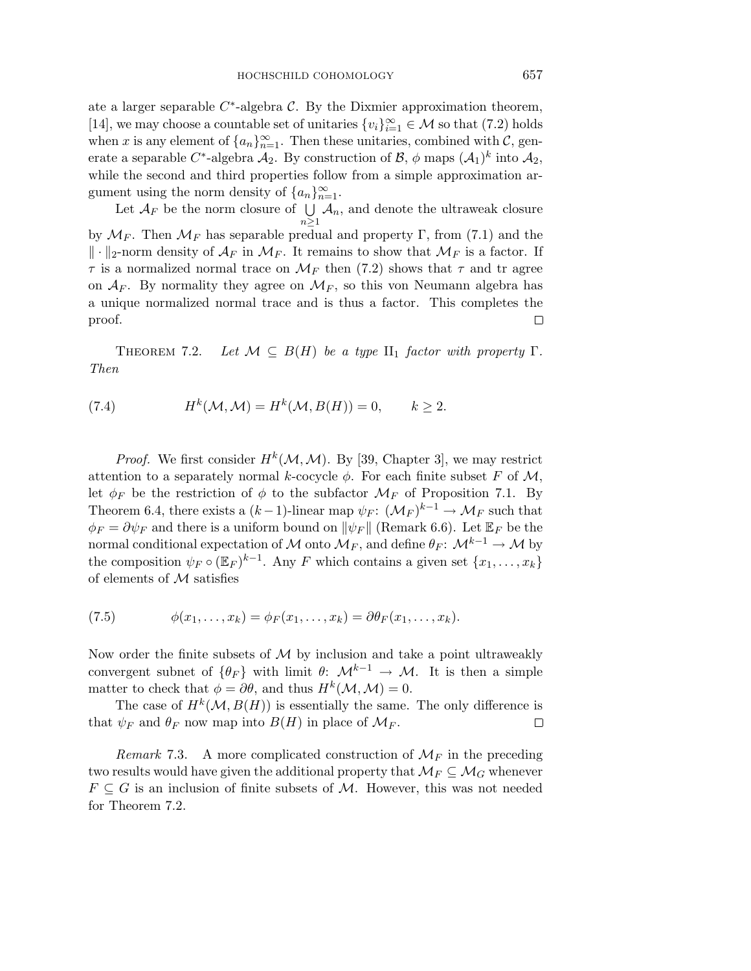ate a larger separable  $C^*$ -algebra C. By the Dixmier approximation theorem, [14], we may choose a countable set of unitaries  $\{v_i\}_{i=1}^{\infty} \in \mathcal{M}$  so that (7.2) holds when x is any element of  $\{a_n\}_{n=1}^{\infty}$ . Then these unitaries, combined with C, generate a separable C<sup>\*</sup>-algebra  $A_2$ . By construction of  $\mathcal{B}$ ,  $\phi$  maps  $(A_1)^k$  into  $A_2$ , while the second and third properties follow from a simple approximation argument using the norm density of  $\{a_n\}_{n=1}^{\infty}$ .

Let  $\mathcal{A}_F$  be the norm closure of  $\bigcup$  $A_n$ , and denote the ultraweak closure  $n\geq 1$ by  $\mathcal{M}_F$ . Then  $\mathcal{M}_F$  has separable predual and property Γ, from (7.1) and the  $\|\cdot\|_2$ -norm density of  $\mathcal{A}_F$  in  $\mathcal{M}_F$ . It remains to show that  $\mathcal{M}_F$  is a factor. If  $\tau$  is a normalized normal trace on  $\mathcal{M}_F$  then (7.2) shows that  $\tau$  and tr agree on  $A_F$ . By normality they agree on  $\mathcal{M}_F$ , so this von Neumann algebra has a unique normalized normal trace and is thus a factor. This completes the proof. □

THEOREM 7.2. Let  $\mathcal{M} \subseteq B(H)$  be a type II<sub>1</sub> factor with property Γ. Then

(7.4) 
$$
H^k(\mathcal{M}, \mathcal{M}) = H^k(\mathcal{M}, B(H)) = 0, \qquad k \ge 2
$$

*Proof.* We first consider  $H^k(\mathcal{M}, \mathcal{M})$ . By [39, Chapter 3], we may restrict attention to a separately normal k-cocycle  $\phi$ . For each finite subset F of M, let  $\phi_F$  be the restriction of  $\phi$  to the subfactor  $\mathcal{M}_F$  of Proposition 7.1. By Theorem 6.4, there exists a  $(k-1)$ -linear map  $\psi_F$ :  $(\mathcal{M}_F)^{k-1} \to \mathcal{M}_F$  such that  $\phi_F = \partial \psi_F$  and there is a uniform bound on  $\|\psi_F\|$  (Remark 6.6). Let  $\mathbb{E}_F$  be the normal conditional expectation of M onto  $\mathcal{M}_F$ , and define  $\theta_F: \mathcal{M}^{k-1} \to \mathcal{M}$  by the composition  $\psi_F \circ (\mathbb{E}_F)^{k-1}$ . Any F which contains a given set  $\{x_1,\ldots,x_k\}$ of elements of M satisfies

(7.5) 
$$
\phi(x_1,\ldots,x_k)=\phi_F(x_1,\ldots,x_k)=\partial\theta_F(x_1,\ldots,x_k).
$$

Now order the finite subsets of  $M$  by inclusion and take a point ultraweakly convergent subnet of  $\{\theta_F\}$  with limit  $\theta: \mathcal{M}^{k-1} \to \mathcal{M}$ . It is then a simple matter to check that  $\phi = \partial \theta$ , and thus  $H^k(\mathcal{M}, \mathcal{M}) = 0$ .

The case of  $H^k(\mathcal{M}, B(H))$  is essentially the same. The only difference is that  $\psi_F$  and  $\theta_F$  now map into  $B(H)$  in place of  $\mathcal{M}_F$ .  $\Box$ 

Remark 7.3. A more complicated construction of  $\mathcal{M}_F$  in the preceding two results would have given the additional property that  $\mathcal{M}_F \subseteq \mathcal{M}_G$  whenever  $F \subseteq G$  is an inclusion of finite subsets of M. However, this was not needed for Theorem 7.2.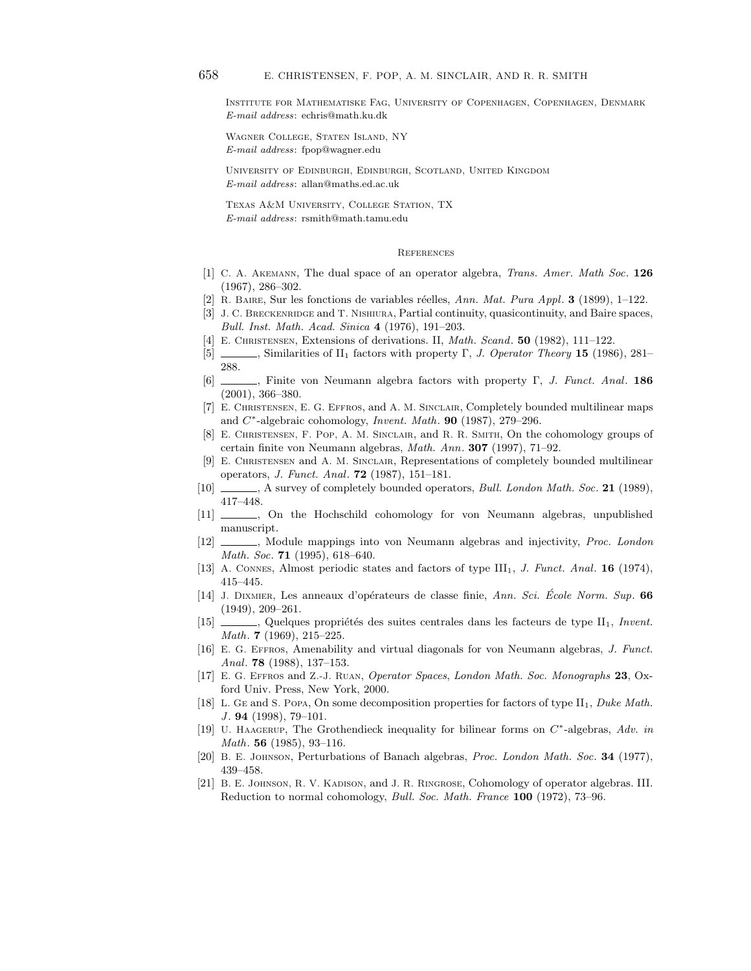Institute for Mathematiske Fag, University of Copenhagen, Copenhagen, Denmark E-mail address: echris@math.ku.dk

Wagner College, Staten Island, NY E-mail address: fpop@wagner.edu

University of Edinburgh, Edinburgh, Scotland, United Kingdom E-mail address: allan@maths.ed.ac.uk

Texas A&M University, College Station, TX E-mail address: rsmith@math.tamu.edu

#### **REFERENCES**

- [1] C. A. Akemann, The dual space of an operator algebra, *Trans. Amer. Math Soc*. **126** (1967), 286–302.
- [2] R. Baire, Sur les fonctions de variables r´eelles, *Ann. Mat. Pura Appl*. **3** (1899), 1–122.
- [3] J. C. BRECKENRIDGE and T. NISHIURA, Partial continuity, quasicontinuity, and Baire spaces, *Bull. Inst. Math. Acad. Sinica* **4** (1976), 191–203.
- [4] E. Christensen, Extensions of derivations. II, *Math. Scand*. **50** (1982), 111–122.
- [5] , Similarities of II<sup>1</sup> factors with property Γ, *J. Operator Theory* **15** (1986), 281– 288.
- [6] , Finite von Neumann algebra factors with property Γ, *J. Funct. Anal*. **186** (2001), 366–380.
- [7] E. Christensen, E. G. Effros, and A. M. Sinclair, Completely bounded multilinear maps and C∗-algebraic cohomology, *Invent. Math*. **90** (1987), 279–296.
- [8] E. Christensen, F. Pop, A. M. Sinclair, and R. R. Smith, On the cohomology groups of certain finite von Neumann algebras, *Math. Ann*. **307** (1997), 71–92.
- [9] E. Christensen and A. M. Sinclair, Representations of completely bounded multilinear operators, *J. Funct. Anal*. **72** (1987), 151–181.
- [10] , A survey of completely bounded operators, *Bull. London Math. Soc*. **21** (1989), 417–448.
- [11] , On the Hochschild cohomology for von Neumann algebras, unpublished manuscript.
- [12] , Module mappings into von Neumann algebras and injectivity, *Proc. London Math. Soc*. **71** (1995), 618–640.
- [13] A. Connes, Almost periodic states and factors of type III1, *J. Funct. Anal*. **16** (1974), 415–445.
- [14] J. Dixmier, Les anneaux d'op´erateurs de classe finie, *Ann. Sci. Ecole Norm. Sup ´* . **66** (1949), 209–261.
- [15]  $\_\_\_\_\_\_\_\_\_\_\_\_\_\_\_\_\_\_\_\_\_\_\_\_\_\_\_\_\_\_\.\_$ *Math*. **7** (1969), 215–225.
- [16] E. G. Effros, Amenability and virtual diagonals for von Neumann algebras, *J. Funct. Anal*. **78** (1988), 137–153.
- [17] E. G. Effros and Z.-J. Ruan, *Operator Spaces*, *London Math. Soc. Monographs* **23**, Oxford Univ. Press, New York, 2000.
- [18] L. Ge and S. Popa, On some decomposition properties for factors of type II1, *Duke Math. J* . **94** (1998), 79–101.
- [19] U. Haagerup, The Grothendieck inequality for bilinear forms on C∗-algebras, *Adv. in Math*. **56** (1985), 93–116.
- [20] B. E. Johnson, Perturbations of Banach algebras, *Proc. London Math. Soc*. **34** (1977), 439–458.
- [21] B. E. JOHNSON, R. V. KADISON, and J. R. RINGROSE, Cohomology of operator algebras. III. Reduction to normal cohomology, *Bull. Soc. Math. France* **100** (1972), 73–96.